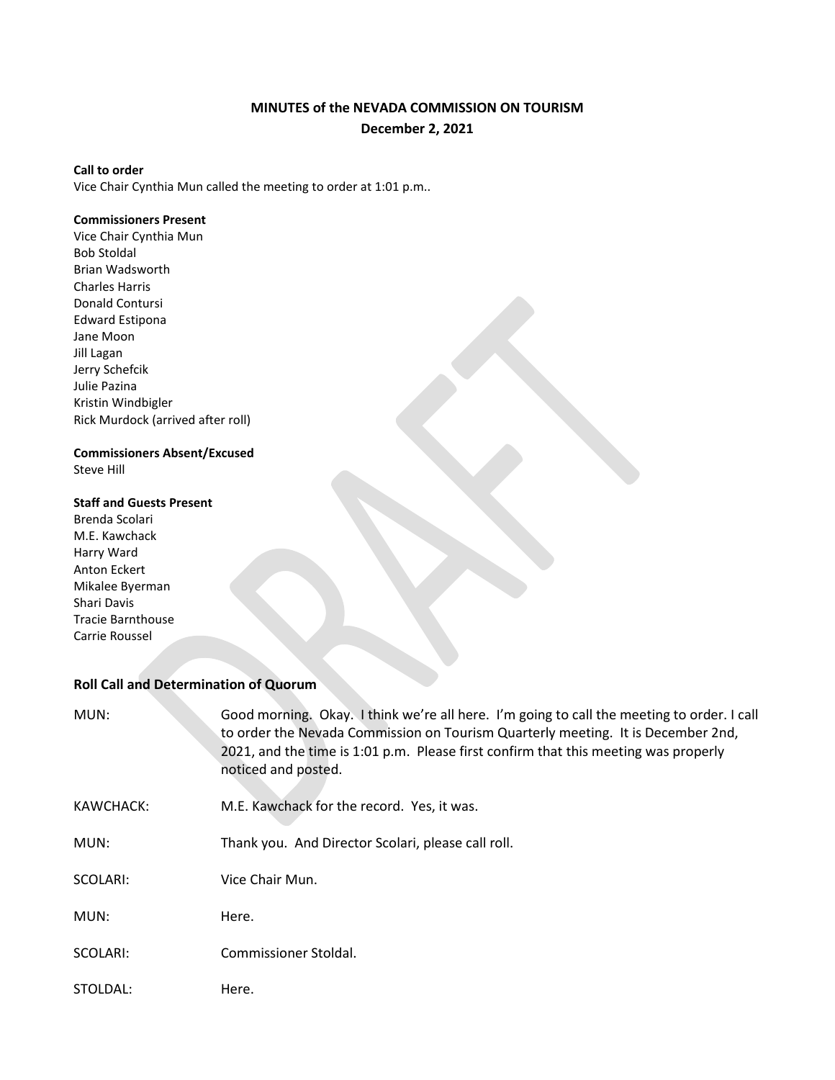# **MINUTES of the NEVADA COMMISSION ON TOURISM December 2, 2021**

#### **Call to order**

Vice Chair Cynthia Mun called the meeting to order at 1:01 p.m..

#### **Commissioners Present**

Vice Chair Cynthia Mun Bob Stoldal Brian Wadsworth Charles Harris Donald Contursi Edward Estipona Jane Moon Jill Lagan Jerry Schefcik Julie Pazina Kristin Windbigler Rick Murdock (arrived after roll)

## **Commissioners Absent/Excused**

Steve Hill

## **Staff and Guests Present**

Brenda Scolari M.E. Kawchack Harry Ward Anton Eckert Mikalee Byerman Shari Davis Tracie Barnthouse Carrie Roussel

## **Roll Call and Determination of Quorum**

| MUN:      | Good morning. Okay. I think we're all here. I'm going to call the meeting to order. I call<br>to order the Nevada Commission on Tourism Quarterly meeting. It is December 2nd,<br>2021, and the time is 1:01 p.m. Please first confirm that this meeting was properly<br>noticed and posted. |
|-----------|----------------------------------------------------------------------------------------------------------------------------------------------------------------------------------------------------------------------------------------------------------------------------------------------|
| KAWCHACK: | M.E. Kawchack for the record. Yes, it was.                                                                                                                                                                                                                                                   |
| MUN:      | Thank you. And Director Scolari, please call roll.                                                                                                                                                                                                                                           |
| SCOLARI:  | Vice Chair Mun.                                                                                                                                                                                                                                                                              |
| MUN:      | Here.                                                                                                                                                                                                                                                                                        |
| SCOLARI:  | Commissioner Stoldal.                                                                                                                                                                                                                                                                        |
| STOLDAL:  | Here.                                                                                                                                                                                                                                                                                        |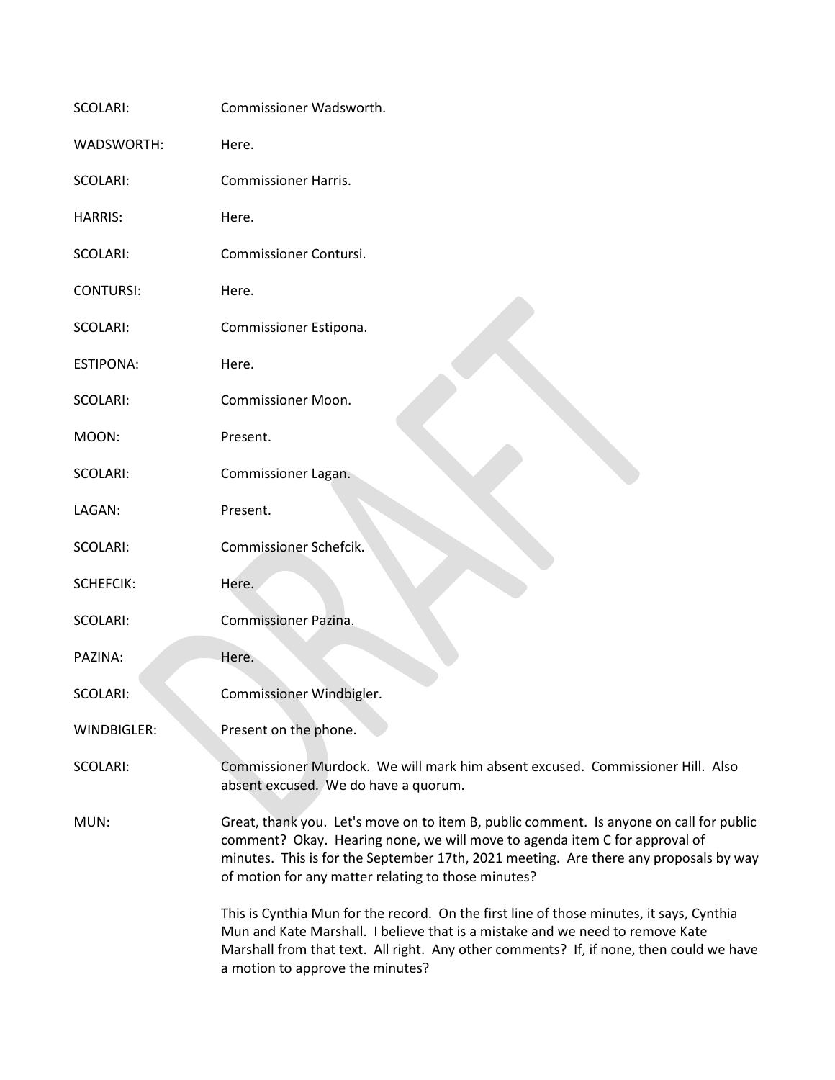| SCOLARI:          | Commissioner Wadsworth.                                                                                                                                                                                                                                                                                               |
|-------------------|-----------------------------------------------------------------------------------------------------------------------------------------------------------------------------------------------------------------------------------------------------------------------------------------------------------------------|
| <b>WADSWORTH:</b> | Here.                                                                                                                                                                                                                                                                                                                 |
| SCOLARI:          | <b>Commissioner Harris.</b>                                                                                                                                                                                                                                                                                           |
| <b>HARRIS:</b>    | Here.                                                                                                                                                                                                                                                                                                                 |
| SCOLARI:          | Commissioner Contursi.                                                                                                                                                                                                                                                                                                |
| <b>CONTURSI:</b>  | Here.                                                                                                                                                                                                                                                                                                                 |
| SCOLARI:          | Commissioner Estipona.                                                                                                                                                                                                                                                                                                |
| <b>ESTIPONA:</b>  | Here.                                                                                                                                                                                                                                                                                                                 |
| <b>SCOLARI:</b>   | <b>Commissioner Moon.</b>                                                                                                                                                                                                                                                                                             |
| MOON:             | Present.                                                                                                                                                                                                                                                                                                              |
| SCOLARI:          | Commissioner Lagan.                                                                                                                                                                                                                                                                                                   |
| LAGAN:            | Present.                                                                                                                                                                                                                                                                                                              |
| SCOLARI:          | Commissioner Schefcik.                                                                                                                                                                                                                                                                                                |
| <b>SCHEFCIK:</b>  | Here.                                                                                                                                                                                                                                                                                                                 |
| SCOLARI:          | Commissioner Pazina.                                                                                                                                                                                                                                                                                                  |
| PAZINA:           | Here.                                                                                                                                                                                                                                                                                                                 |
| <b>SCOLARI:</b>   | Commissioner Windbigler.                                                                                                                                                                                                                                                                                              |
| WINDBIGLER:       | Present on the phone.                                                                                                                                                                                                                                                                                                 |
| SCOLARI:          | Commissioner Murdock. We will mark him absent excused. Commissioner Hill. Also<br>absent excused. We do have a quorum.                                                                                                                                                                                                |
| MUN:              | Great, thank you. Let's move on to item B, public comment. Is anyone on call for public<br>comment? Okay. Hearing none, we will move to agenda item C for approval of<br>minutes. This is for the September 17th, 2021 meeting. Are there any proposals by way<br>of motion for any matter relating to those minutes? |
|                   | This is Cynthia Mun for the record. On the first line of those minutes, it says, Cynthia<br>Mun and Kate Marshall. I believe that is a mistake and we need to remove Kate<br>Marshall from that text. All right. Any other comments? If, if none, then could we have<br>a motion to approve the minutes?              |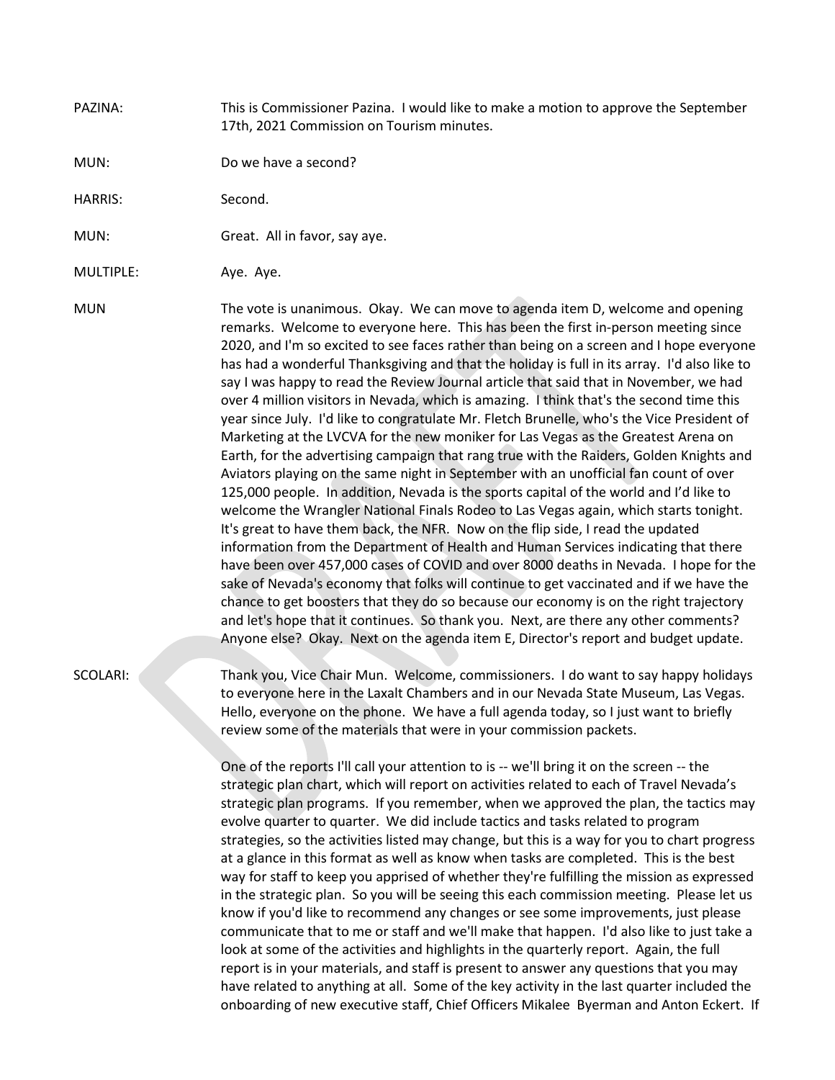### PAZINA: This is Commissioner Pazina. I would like to make a motion to approve the September 17th, 2021 Commission on Tourism minutes.

MUN: Do we have a second?

HARRIS: Second.

MUN: Great. All in favor, say aye.

MULTIPLE: Aye. Aye.

MUN The vote is unanimous. Okay. We can move to agenda item D, welcome and opening remarks. Welcome to everyone here. This has been the first in-person meeting since 2020, and I'm so excited to see faces rather than being on a screen and I hope everyone has had a wonderful Thanksgiving and that the holiday is full in its array. I'd also like to say I was happy to read the Review Journal article that said that in November, we had over 4 million visitors in Nevada, which is amazing. I think that's the second time this year since July. I'd like to congratulate Mr. Fletch Brunelle, who's the Vice President of Marketing at the LVCVA for the new moniker for Las Vegas as the Greatest Arena on Earth, for the advertising campaign that rang true with the Raiders, Golden Knights and Aviators playing on the same night in September with an unofficial fan count of over 125,000 people. In addition, Nevada is the sports capital of the world and I'd like to welcome the Wrangler National Finals Rodeo to Las Vegas again, which starts tonight. It's great to have them back, the NFR. Now on the flip side, I read the updated information from the Department of Health and Human Services indicating that there have been over 457,000 cases of COVID and over 8000 deaths in Nevada. I hope for the sake of Nevada's economy that folks will continue to get vaccinated and if we have the chance to get boosters that they do so because our economy is on the right trajectory and let's hope that it continues. So thank you. Next, are there any other comments? Anyone else? Okay. Next on the agenda item E, Director's report and budget update.

SCOLARI: Thank you, Vice Chair Mun. Welcome, commissioners. I do want to say happy holidays to everyone here in the Laxalt Chambers and in our Nevada State Museum, Las Vegas. Hello, everyone on the phone. We have a full agenda today, so I just want to briefly review some of the materials that were in your commission packets.

> One of the reports I'll call your attention to is -- we'll bring it on the screen -- the strategic plan chart, which will report on activities related to each of Travel Nevada's strategic plan programs. If you remember, when we approved the plan, the tactics may evolve quarter to quarter. We did include tactics and tasks related to program strategies, so the activities listed may change, but this is a way for you to chart progress at a glance in this format as well as know when tasks are completed. This is the best way for staff to keep you apprised of whether they're fulfilling the mission as expressed in the strategic plan. So you will be seeing this each commission meeting. Please let us know if you'd like to recommend any changes or see some improvements, just please communicate that to me or staff and we'll make that happen. I'd also like to just take a look at some of the activities and highlights in the quarterly report. Again, the full report is in your materials, and staff is present to answer any questions that you may have related to anything at all. Some of the key activity in the last quarter included the onboarding of new executive staff, Chief Officers Mikalee Byerman and Anton Eckert. If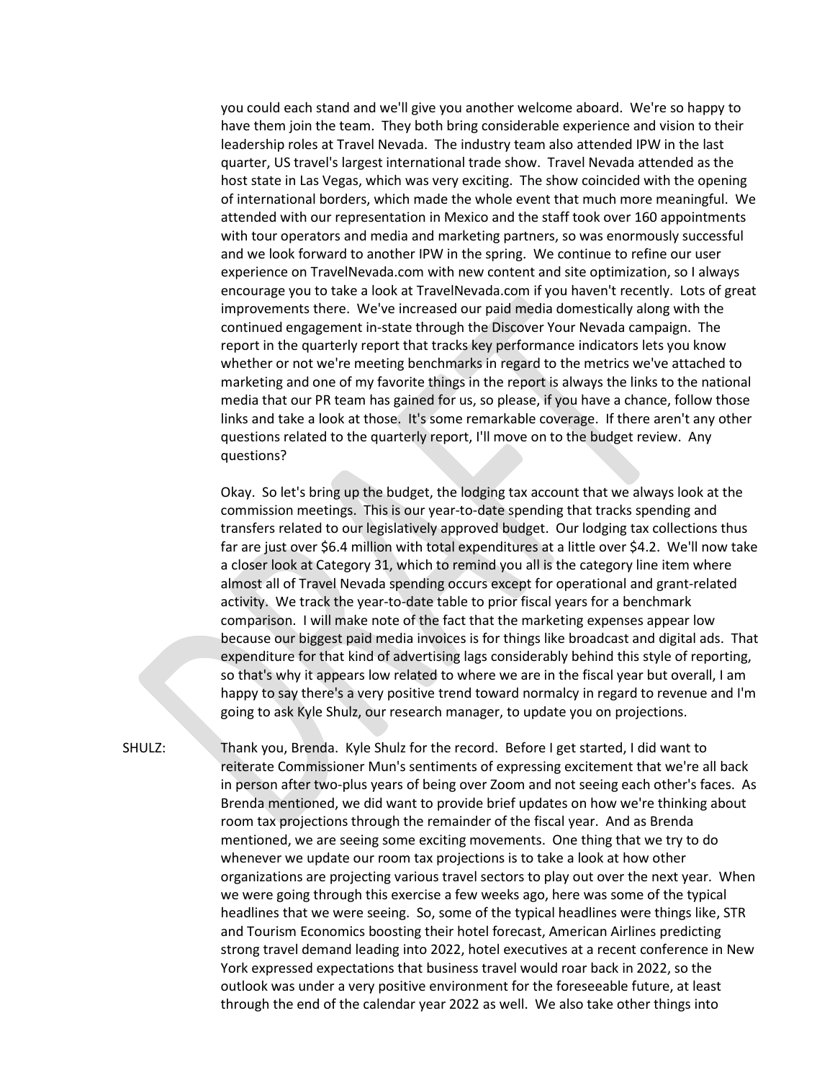you could each stand and we'll give you another welcome aboard. We're so happy to have them join the team. They both bring considerable experience and vision to their leadership roles at Travel Nevada. The industry team also attended IPW in the last quarter, US travel's largest international trade show. Travel Nevada attended as the host state in Las Vegas, which was very exciting. The show coincided with the opening of international borders, which made the whole event that much more meaningful. We attended with our representation in Mexico and the staff took over 160 appointments with tour operators and media and marketing partners, so was enormously successful and we look forward to another IPW in the spring. We continue to refine our user experience on TravelNevada.com with new content and site optimization, so I always encourage you to take a look at TravelNevada.com if you haven't recently. Lots of great improvements there. We've increased our paid media domestically along with the continued engagement in-state through the Discover Your Nevada campaign. The report in the quarterly report that tracks key performance indicators lets you know whether or not we're meeting benchmarks in regard to the metrics we've attached to marketing and one of my favorite things in the report is always the links to the national media that our PR team has gained for us, so please, if you have a chance, follow those links and take a look at those. It's some remarkable coverage. If there aren't any other questions related to the quarterly report, I'll move on to the budget review. Any questions?

Okay. So let's bring up the budget, the lodging tax account that we always look at the commission meetings. This is our year-to-date spending that tracks spending and transfers related to our legislatively approved budget. Our lodging tax collections thus far are just over \$6.4 million with total expenditures at a little over \$4.2. We'll now take a closer look at Category 31, which to remind you all is the category line item where almost all of Travel Nevada spending occurs except for operational and grant-related activity. We track the year-to-date table to prior fiscal years for a benchmark comparison. I will make note of the fact that the marketing expenses appear low because our biggest paid media invoices is for things like broadcast and digital ads. That expenditure for that kind of advertising lags considerably behind this style of reporting, so that's why it appears low related to where we are in the fiscal year but overall, I am happy to say there's a very positive trend toward normalcy in regard to revenue and I'm going to ask Kyle Shulz, our research manager, to update you on projections.

SHULZ: Thank you, Brenda. Kyle Shulz for the record. Before I get started, I did want to reiterate Commissioner Mun's sentiments of expressing excitement that we're all back in person after two-plus years of being over Zoom and not seeing each other's faces. As Brenda mentioned, we did want to provide brief updates on how we're thinking about room tax projections through the remainder of the fiscal year. And as Brenda mentioned, we are seeing some exciting movements. One thing that we try to do whenever we update our room tax projections is to take a look at how other organizations are projecting various travel sectors to play out over the next year. When we were going through this exercise a few weeks ago, here was some of the typical headlines that we were seeing. So, some of the typical headlines were things like, STR and Tourism Economics boosting their hotel forecast, American Airlines predicting strong travel demand leading into 2022, hotel executives at a recent conference in New York expressed expectations that business travel would roar back in 2022, so the outlook was under a very positive environment for the foreseeable future, at least through the end of the calendar year 2022 as well. We also take other things into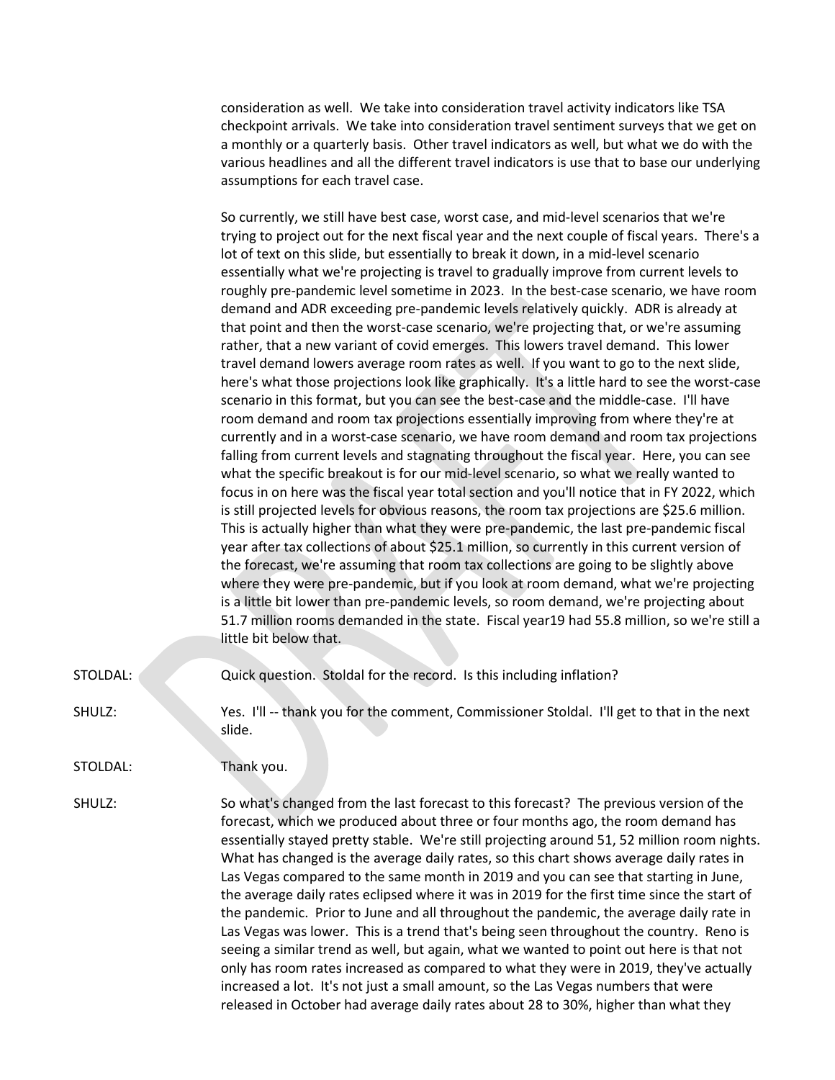consideration as well. We take into consideration travel activity indicators like TSA checkpoint arrivals. We take into consideration travel sentiment surveys that we get on a monthly or a quarterly basis. Other travel indicators as well, but what we do with the various headlines and all the different travel indicators is use that to base our underlying assumptions for each travel case.

So currently, we still have best case, worst case, and mid-level scenarios that we're trying to project out for the next fiscal year and the next couple of fiscal years. There's a lot of text on this slide, but essentially to break it down, in a mid-level scenario essentially what we're projecting is travel to gradually improve from current levels to roughly pre-pandemic level sometime in 2023. In the best-case scenario, we have room demand and ADR exceeding pre-pandemic levels relatively quickly. ADR is already at that point and then the worst-case scenario, we're projecting that, or we're assuming rather, that a new variant of covid emerges. This lowers travel demand. This lower travel demand lowers average room rates as well. If you want to go to the next slide, here's what those projections look like graphically. It's a little hard to see the worst-case scenario in this format, but you can see the best-case and the middle-case. I'll have room demand and room tax projections essentially improving from where they're at currently and in a worst-case scenario, we have room demand and room tax projections falling from current levels and stagnating throughout the fiscal year. Here, you can see what the specific breakout is for our mid-level scenario, so what we really wanted to focus in on here was the fiscal year total section and you'll notice that in FY 2022, which is still projected levels for obvious reasons, the room tax projections are \$25.6 million. This is actually higher than what they were pre-pandemic, the last pre-pandemic fiscal year after tax collections of about \$25.1 million, so currently in this current version of the forecast, we're assuming that room tax collections are going to be slightly above where they were pre-pandemic, but if you look at room demand, what we're projecting is a little bit lower than pre-pandemic levels, so room demand, we're projecting about 51.7 million rooms demanded in the state. Fiscal year19 had 55.8 million, so we're still a little bit below that.

- STOLDAL: Quick question. Stoldal for the record. Is this including inflation?
- SHULZ: Yes. I'll -- thank you for the comment, Commissioner Stoldal. I'll get to that in the next slide.
- STOLDAL: Thank you.
- SHULZ: So what's changed from the last forecast to this forecast? The previous version of the forecast, which we produced about three or four months ago, the room demand has essentially stayed pretty stable. We're still projecting around 51, 52 million room nights. What has changed is the average daily rates, so this chart shows average daily rates in Las Vegas compared to the same month in 2019 and you can see that starting in June, the average daily rates eclipsed where it was in 2019 for the first time since the start of the pandemic. Prior to June and all throughout the pandemic, the average daily rate in Las Vegas was lower. This is a trend that's being seen throughout the country. Reno is seeing a similar trend as well, but again, what we wanted to point out here is that not only has room rates increased as compared to what they were in 2019, they've actually increased a lot. It's not just a small amount, so the Las Vegas numbers that were released in October had average daily rates about 28 to 30%, higher than what they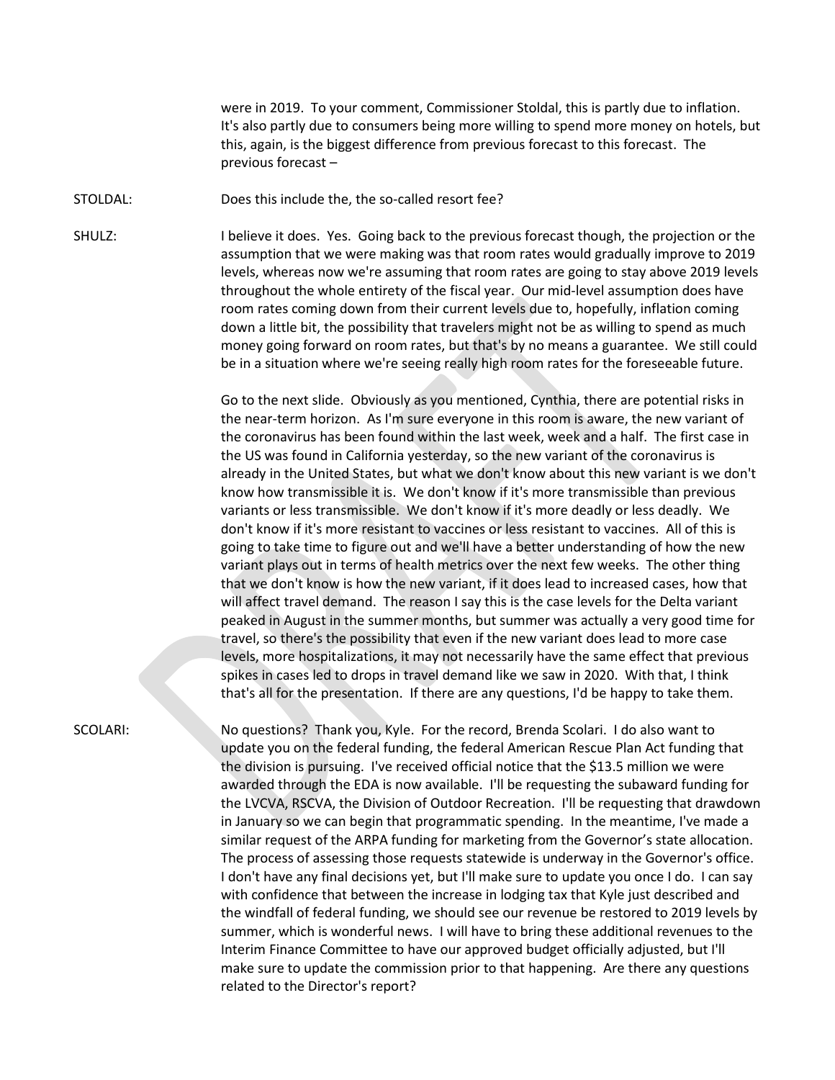were in 2019. To your comment, Commissioner Stoldal, this is partly due to inflation. It's also partly due to consumers being more willing to spend more money on hotels, but this, again, is the biggest difference from previous forecast to this forecast. The previous forecast –

STOLDAL: Does this include the, the so-called resort fee?

SHULZ: I believe it does. Yes. Going back to the previous forecast though, the projection or the assumption that we were making was that room rates would gradually improve to 2019 levels, whereas now we're assuming that room rates are going to stay above 2019 levels throughout the whole entirety of the fiscal year. Our mid-level assumption does have room rates coming down from their current levels due to, hopefully, inflation coming down a little bit, the possibility that travelers might not be as willing to spend as much money going forward on room rates, but that's by no means a guarantee. We still could be in a situation where we're seeing really high room rates for the foreseeable future.

> Go to the next slide. Obviously as you mentioned, Cynthia, there are potential risks in the near-term horizon. As I'm sure everyone in this room is aware, the new variant of the coronavirus has been found within the last week, week and a half. The first case in the US was found in California yesterday, so the new variant of the coronavirus is already in the United States, but what we don't know about this new variant is we don't know how transmissible it is. We don't know if it's more transmissible than previous variants or less transmissible. We don't know if it's more deadly or less deadly. We don't know if it's more resistant to vaccines or less resistant to vaccines. All of this is going to take time to figure out and we'll have a better understanding of how the new variant plays out in terms of health metrics over the next few weeks. The other thing that we don't know is how the new variant, if it does lead to increased cases, how that will affect travel demand. The reason I say this is the case levels for the Delta variant peaked in August in the summer months, but summer was actually a very good time for travel, so there's the possibility that even if the new variant does lead to more case levels, more hospitalizations, it may not necessarily have the same effect that previous spikes in cases led to drops in travel demand like we saw in 2020. With that, I think that's all for the presentation. If there are any questions, I'd be happy to take them.

SCOLARI: No questions? Thank you, Kyle. For the record, Brenda Scolari. I do also want to update you on the federal funding, the federal American Rescue Plan Act funding that the division is pursuing. I've received official notice that the \$13.5 million we were awarded through the EDA is now available. I'll be requesting the subaward funding for the LVCVA, RSCVA, the Division of Outdoor Recreation. I'll be requesting that drawdown in January so we can begin that programmatic spending. In the meantime, I've made a similar request of the ARPA funding for marketing from the Governor's state allocation. The process of assessing those requests statewide is underway in the Governor's office. I don't have any final decisions yet, but I'll make sure to update you once I do. I can say with confidence that between the increase in lodging tax that Kyle just described and the windfall of federal funding, we should see our revenue be restored to 2019 levels by summer, which is wonderful news. I will have to bring these additional revenues to the Interim Finance Committee to have our approved budget officially adjusted, but I'll make sure to update the commission prior to that happening. Are there any questions related to the Director's report?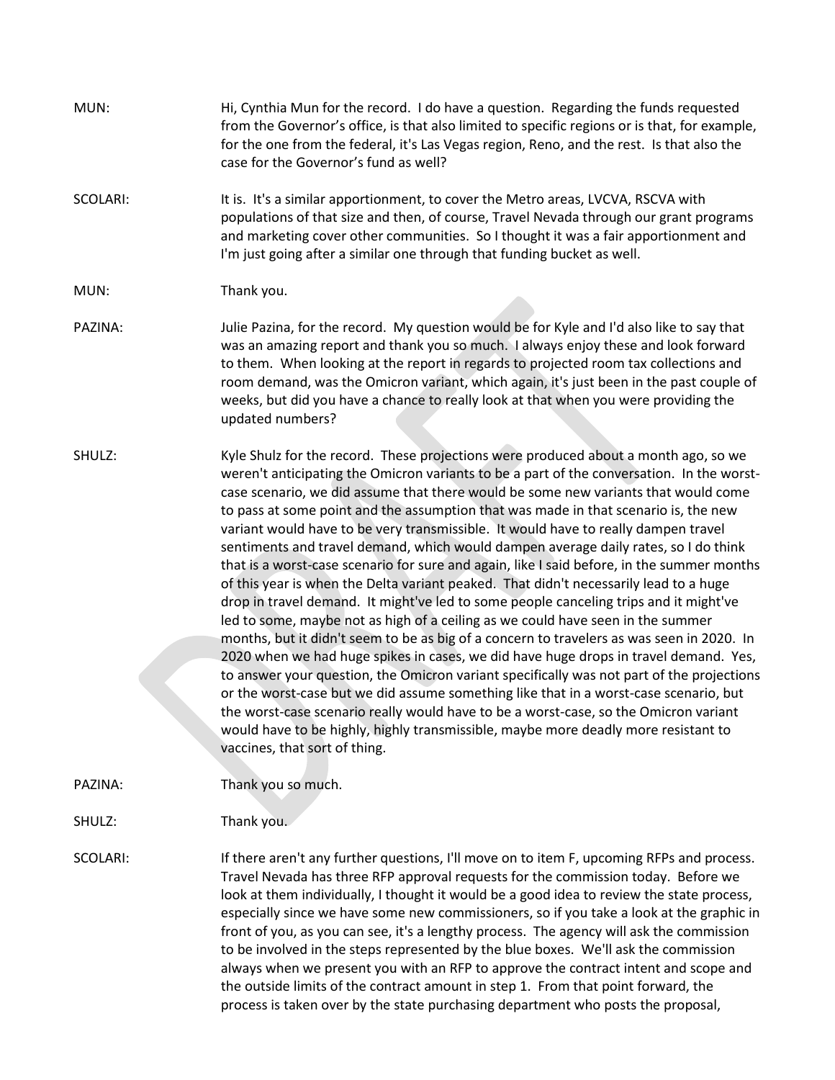| MUN:     | Hi, Cynthia Mun for the record. I do have a question. Regarding the funds requested<br>from the Governor's office, is that also limited to specific regions or is that, for example,<br>for the one from the federal, it's Las Vegas region, Reno, and the rest. Is that also the<br>case for the Governor's fund as well?                                                                                                                                                                                                                                                                                                                                                                                                                                                                                                                                                                                                                                                                                                                                                                                                                                                                                                                                                                                                                                                                                                                                                                              |
|----------|---------------------------------------------------------------------------------------------------------------------------------------------------------------------------------------------------------------------------------------------------------------------------------------------------------------------------------------------------------------------------------------------------------------------------------------------------------------------------------------------------------------------------------------------------------------------------------------------------------------------------------------------------------------------------------------------------------------------------------------------------------------------------------------------------------------------------------------------------------------------------------------------------------------------------------------------------------------------------------------------------------------------------------------------------------------------------------------------------------------------------------------------------------------------------------------------------------------------------------------------------------------------------------------------------------------------------------------------------------------------------------------------------------------------------------------------------------------------------------------------------------|
| SCOLARI: | It is. It's a similar apportionment, to cover the Metro areas, LVCVA, RSCVA with<br>populations of that size and then, of course, Travel Nevada through our grant programs<br>and marketing cover other communities. So I thought it was a fair apportionment and<br>I'm just going after a similar one through that funding bucket as well.                                                                                                                                                                                                                                                                                                                                                                                                                                                                                                                                                                                                                                                                                                                                                                                                                                                                                                                                                                                                                                                                                                                                                            |
| MUN:     | Thank you.                                                                                                                                                                                                                                                                                                                                                                                                                                                                                                                                                                                                                                                                                                                                                                                                                                                                                                                                                                                                                                                                                                                                                                                                                                                                                                                                                                                                                                                                                              |
| PAZINA:  | Julie Pazina, for the record. My question would be for Kyle and I'd also like to say that<br>was an amazing report and thank you so much. I always enjoy these and look forward<br>to them. When looking at the report in regards to projected room tax collections and<br>room demand, was the Omicron variant, which again, it's just been in the past couple of<br>weeks, but did you have a chance to really look at that when you were providing the<br>updated numbers?                                                                                                                                                                                                                                                                                                                                                                                                                                                                                                                                                                                                                                                                                                                                                                                                                                                                                                                                                                                                                           |
| SHULZ:   | Kyle Shulz for the record. These projections were produced about a month ago, so we<br>weren't anticipating the Omicron variants to be a part of the conversation. In the worst-<br>case scenario, we did assume that there would be some new variants that would come<br>to pass at some point and the assumption that was made in that scenario is, the new<br>variant would have to be very transmissible. It would have to really dampen travel<br>sentiments and travel demand, which would dampen average daily rates, so I do think<br>that is a worst-case scenario for sure and again, like I said before, in the summer months<br>of this year is when the Delta variant peaked. That didn't necessarily lead to a huge<br>drop in travel demand. It might've led to some people canceling trips and it might've<br>led to some, maybe not as high of a ceiling as we could have seen in the summer<br>months, but it didn't seem to be as big of a concern to travelers as was seen in 2020. In<br>2020 when we had huge spikes in cases, we did have huge drops in travel demand. Yes,<br>to answer your question, the Omicron variant specifically was not part of the projections<br>or the worst-case but we did assume something like that in a worst-case scenario, but<br>the worst-case scenario really would have to be a worst-case, so the Omicron variant<br>would have to be highly, highly transmissible, maybe more deadly more resistant to<br>vaccines, that sort of thing. |
| PAZINA:  | Thank you so much.                                                                                                                                                                                                                                                                                                                                                                                                                                                                                                                                                                                                                                                                                                                                                                                                                                                                                                                                                                                                                                                                                                                                                                                                                                                                                                                                                                                                                                                                                      |
| SHULZ:   | Thank you.                                                                                                                                                                                                                                                                                                                                                                                                                                                                                                                                                                                                                                                                                                                                                                                                                                                                                                                                                                                                                                                                                                                                                                                                                                                                                                                                                                                                                                                                                              |
| SCOLARI: | If there aren't any further questions, I'll move on to item F, upcoming RFPs and process.<br>Travel Nevada has three RFP approval requests for the commission today. Before we<br>look at them individually, I thought it would be a good idea to review the state process,<br>especially since we have some new commissioners, so if you take a look at the graphic in<br>front of you, as you can see, it's a lengthy process. The agency will ask the commission<br>to be involved in the steps represented by the blue boxes. We'll ask the commission<br>always when we present you with an RFP to approve the contract intent and scope and<br>the outside limits of the contract amount in step 1. From that point forward, the<br>process is taken over by the state purchasing department who posts the proposal,                                                                                                                                                                                                                                                                                                                                                                                                                                                                                                                                                                                                                                                                              |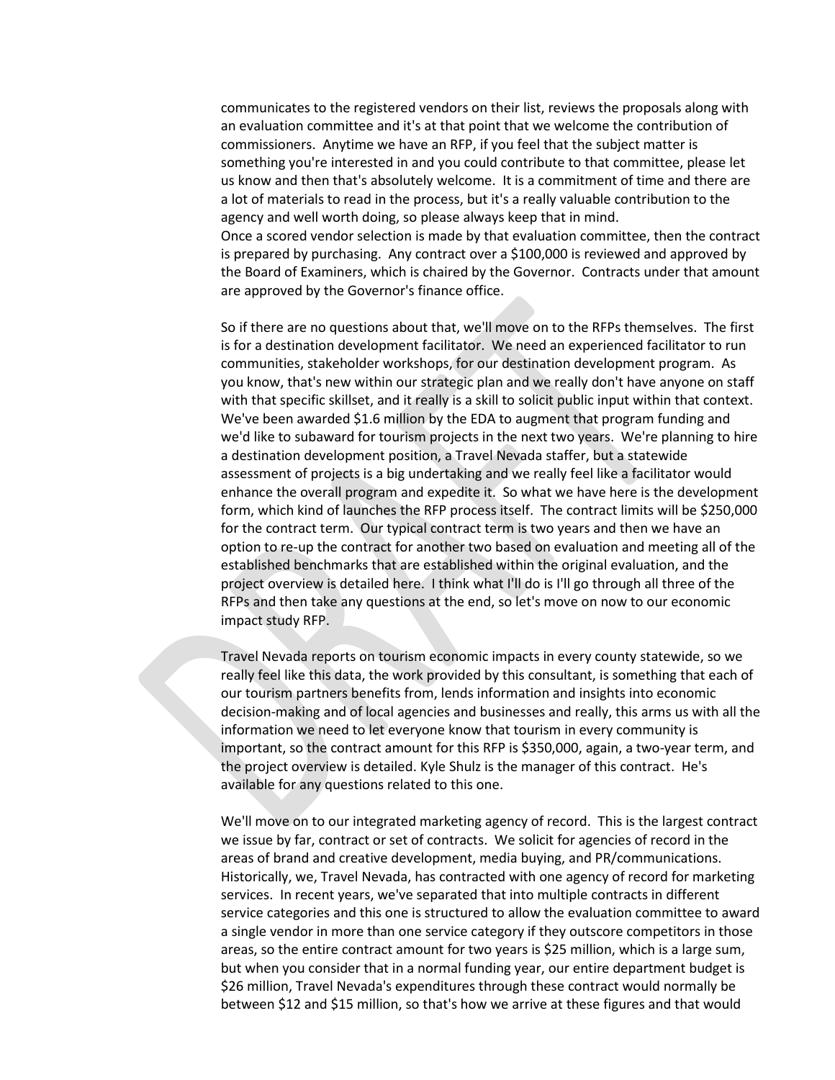communicates to the registered vendors on their list, reviews the proposals along with an evaluation committee and it's at that point that we welcome the contribution of commissioners. Anytime we have an RFP, if you feel that the subject matter is something you're interested in and you could contribute to that committee, please let us know and then that's absolutely welcome. It is a commitment of time and there are a lot of materials to read in the process, but it's a really valuable contribution to the agency and well worth doing, so please always keep that in mind. Once a scored vendor selection is made by that evaluation committee, then the contract is prepared by purchasing. Any contract over a \$100,000 is reviewed and approved by the Board of Examiners, which is chaired by the Governor. Contracts under that amount

are approved by the Governor's finance office.

So if there are no questions about that, we'll move on to the RFPs themselves. The first is for a destination development facilitator. We need an experienced facilitator to run communities, stakeholder workshops, for our destination development program. As you know, that's new within our strategic plan and we really don't have anyone on staff with that specific skillset, and it really is a skill to solicit public input within that context. We've been awarded \$1.6 million by the EDA to augment that program funding and we'd like to subaward for tourism projects in the next two years. We're planning to hire a destination development position, a Travel Nevada staffer, but a statewide assessment of projects is a big undertaking and we really feel like a facilitator would enhance the overall program and expedite it. So what we have here is the development form, which kind of launches the RFP process itself. The contract limits will be \$250,000 for the contract term. Our typical contract term is two years and then we have an option to re-up the contract for another two based on evaluation and meeting all of the established benchmarks that are established within the original evaluation, and the project overview is detailed here. I think what I'll do is I'll go through all three of the RFPs and then take any questions at the end, so let's move on now to our economic impact study RFP.

Travel Nevada reports on tourism economic impacts in every county statewide, so we really feel like this data, the work provided by this consultant, is something that each of our tourism partners benefits from, lends information and insights into economic decision-making and of local agencies and businesses and really, this arms us with all the information we need to let everyone know that tourism in every community is important, so the contract amount for this RFP is \$350,000, again, a two-year term, and the project overview is detailed. Kyle Shulz is the manager of this contract. He's available for any questions related to this one.

We'll move on to our integrated marketing agency of record. This is the largest contract we issue by far, contract or set of contracts. We solicit for agencies of record in the areas of brand and creative development, media buying, and PR/communications. Historically, we, Travel Nevada, has contracted with one agency of record for marketing services. In recent years, we've separated that into multiple contracts in different service categories and this one is structured to allow the evaluation committee to award a single vendor in more than one service category if they outscore competitors in those areas, so the entire contract amount for two years is \$25 million, which is a large sum, but when you consider that in a normal funding year, our entire department budget is \$26 million, Travel Nevada's expenditures through these contract would normally be between \$12 and \$15 million, so that's how we arrive at these figures and that would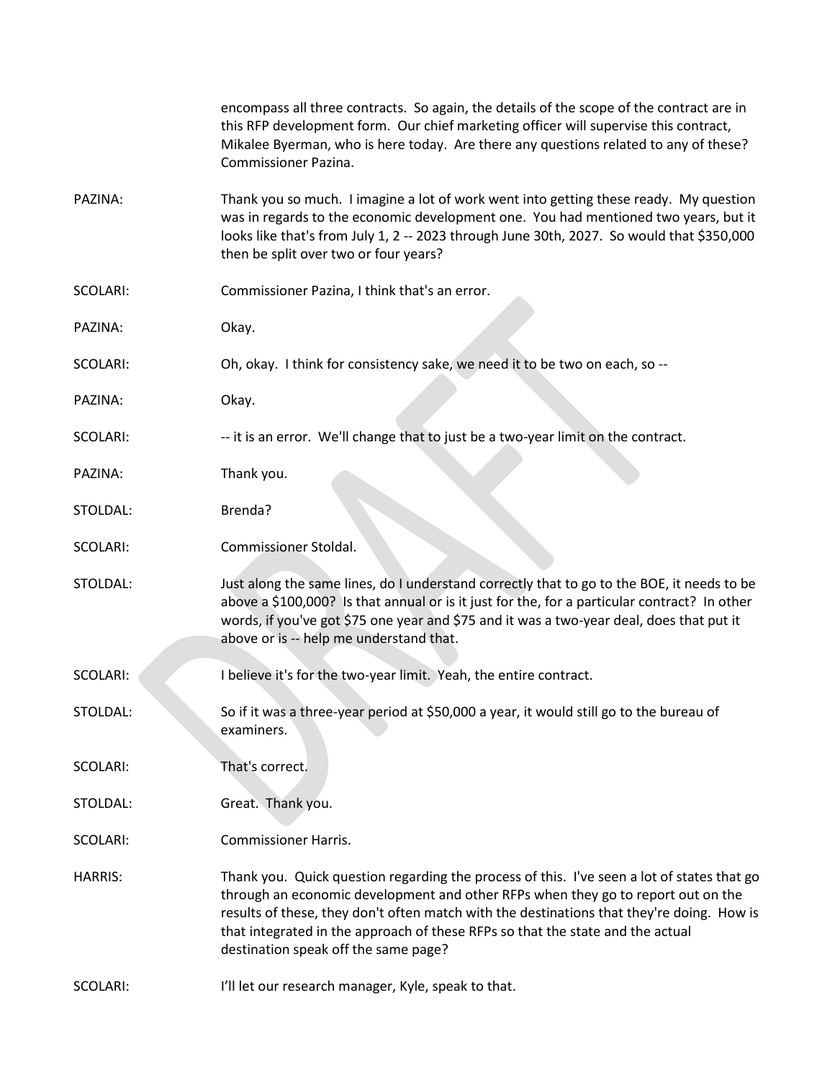|                | encompass all three contracts. So again, the details of the scope of the contract are in<br>this RFP development form. Our chief marketing officer will supervise this contract,<br>Mikalee Byerman, who is here today. Are there any questions related to any of these?<br>Commissioner Pazina.                                                                                                      |
|----------------|-------------------------------------------------------------------------------------------------------------------------------------------------------------------------------------------------------------------------------------------------------------------------------------------------------------------------------------------------------------------------------------------------------|
| PAZINA:        | Thank you so much. I imagine a lot of work went into getting these ready. My question<br>was in regards to the economic development one. You had mentioned two years, but it<br>looks like that's from July 1, 2 -- 2023 through June 30th, 2027. So would that \$350,000<br>then be split over two or four years?                                                                                    |
| SCOLARI:       | Commissioner Pazina, I think that's an error.                                                                                                                                                                                                                                                                                                                                                         |
| PAZINA:        | Okay.                                                                                                                                                                                                                                                                                                                                                                                                 |
| SCOLARI:       | Oh, okay. I think for consistency sake, we need it to be two on each, so --                                                                                                                                                                                                                                                                                                                           |
| PAZINA:        | Okay.                                                                                                                                                                                                                                                                                                                                                                                                 |
| SCOLARI:       | -- it is an error. We'll change that to just be a two-year limit on the contract.                                                                                                                                                                                                                                                                                                                     |
| PAZINA:        | Thank you.                                                                                                                                                                                                                                                                                                                                                                                            |
| STOLDAL:       | Brenda?                                                                                                                                                                                                                                                                                                                                                                                               |
| SCOLARI:       | Commissioner Stoldal.                                                                                                                                                                                                                                                                                                                                                                                 |
| STOLDAL:       | Just along the same lines, do I understand correctly that to go to the BOE, it needs to be<br>above a \$100,000? Is that annual or is it just for the, for a particular contract? In other<br>words, if you've got \$75 one year and \$75 and it was a two-year deal, does that put it<br>above or is -- help me understand that.                                                                     |
| SCOLARI:       | I believe it's for the two-year limit. Yeah, the entire contract.                                                                                                                                                                                                                                                                                                                                     |
| STOLDAL:       | So if it was a three-year period at \$50,000 a year, it would still go to the bureau of<br>examiners.                                                                                                                                                                                                                                                                                                 |
| SCOLARI:       | That's correct.                                                                                                                                                                                                                                                                                                                                                                                       |
| STOLDAL:       | Great. Thank you.                                                                                                                                                                                                                                                                                                                                                                                     |
| SCOLARI:       | <b>Commissioner Harris.</b>                                                                                                                                                                                                                                                                                                                                                                           |
| <b>HARRIS:</b> | Thank you. Quick question regarding the process of this. I've seen a lot of states that go<br>through an economic development and other RFPs when they go to report out on the<br>results of these, they don't often match with the destinations that they're doing. How is<br>that integrated in the approach of these RFPs so that the state and the actual<br>destination speak off the same page? |
| SCOLARI:       | I'll let our research manager, Kyle, speak to that.                                                                                                                                                                                                                                                                                                                                                   |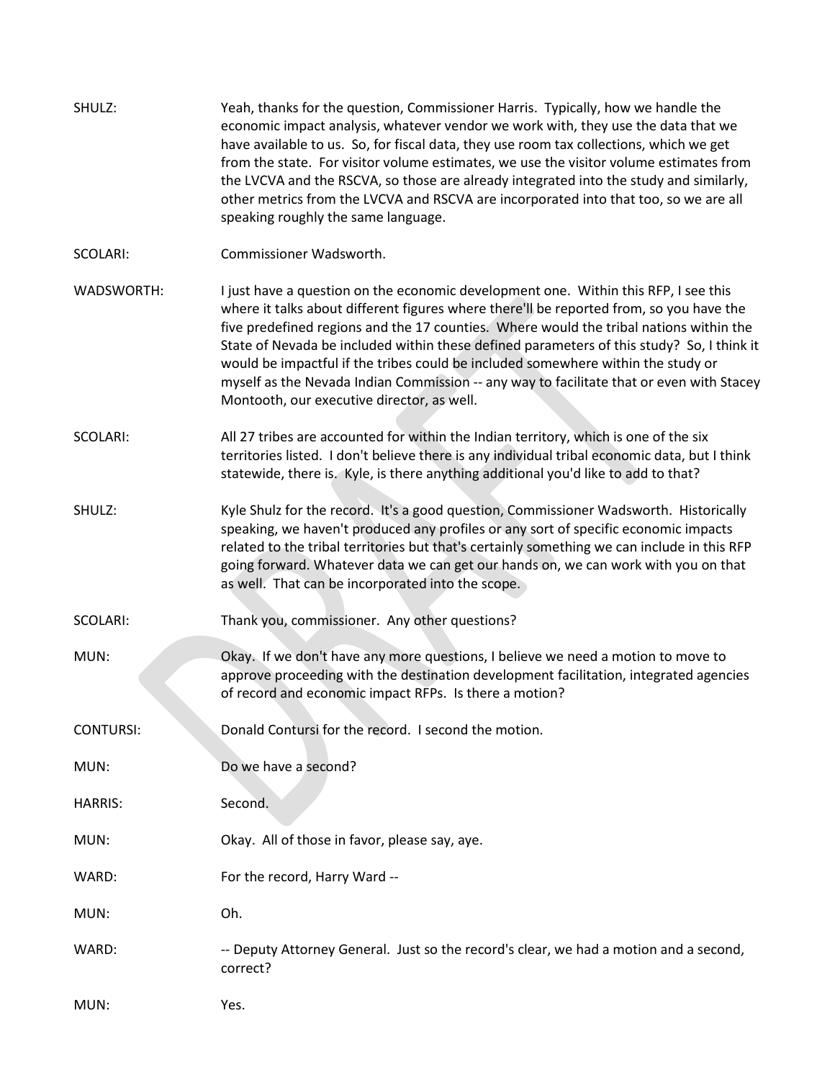| SHULZ:            | Yeah, thanks for the question, Commissioner Harris. Typically, how we handle the<br>economic impact analysis, whatever vendor we work with, they use the data that we<br>have available to us. So, for fiscal data, they use room tax collections, which we get<br>from the state. For visitor volume estimates, we use the visitor volume estimates from<br>the LVCVA and the RSCVA, so those are already integrated into the study and similarly,<br>other metrics from the LVCVA and RSCVA are incorporated into that too, so we are all<br>speaking roughly the same language.                  |
|-------------------|-----------------------------------------------------------------------------------------------------------------------------------------------------------------------------------------------------------------------------------------------------------------------------------------------------------------------------------------------------------------------------------------------------------------------------------------------------------------------------------------------------------------------------------------------------------------------------------------------------|
| SCOLARI:          | Commissioner Wadsworth.                                                                                                                                                                                                                                                                                                                                                                                                                                                                                                                                                                             |
| <b>WADSWORTH:</b> | I just have a question on the economic development one. Within this RFP, I see this<br>where it talks about different figures where there'll be reported from, so you have the<br>five predefined regions and the 17 counties. Where would the tribal nations within the<br>State of Nevada be included within these defined parameters of this study? So, I think it<br>would be impactful if the tribes could be included somewhere within the study or<br>myself as the Nevada Indian Commission -- any way to facilitate that or even with Stacey<br>Montooth, our executive director, as well. |
| SCOLARI:          | All 27 tribes are accounted for within the Indian territory, which is one of the six<br>territories listed. I don't believe there is any individual tribal economic data, but I think<br>statewide, there is. Kyle, is there anything additional you'd like to add to that?                                                                                                                                                                                                                                                                                                                         |
| SHULZ:            | Kyle Shulz for the record. It's a good question, Commissioner Wadsworth. Historically<br>speaking, we haven't produced any profiles or any sort of specific economic impacts<br>related to the tribal territories but that's certainly something we can include in this RFP<br>going forward. Whatever data we can get our hands on, we can work with you on that<br>as well. That can be incorporated into the scope.                                                                                                                                                                              |
| SCOLARI:          | Thank you, commissioner. Any other questions?                                                                                                                                                                                                                                                                                                                                                                                                                                                                                                                                                       |
| MUN:              | Okay. If we don't have any more questions, I believe we need a motion to move to<br>approve proceeding with the destination development facilitation, integrated agencies<br>of record and economic impact RFPs. Is there a motion?                                                                                                                                                                                                                                                                                                                                                                 |
| <b>CONTURSI:</b>  | Donald Contursi for the record. I second the motion.                                                                                                                                                                                                                                                                                                                                                                                                                                                                                                                                                |
| MUN:              | Do we have a second?                                                                                                                                                                                                                                                                                                                                                                                                                                                                                                                                                                                |
| <b>HARRIS:</b>    | Second.                                                                                                                                                                                                                                                                                                                                                                                                                                                                                                                                                                                             |
| MUN:              | Okay. All of those in favor, please say, aye.                                                                                                                                                                                                                                                                                                                                                                                                                                                                                                                                                       |
| WARD:             | For the record, Harry Ward --                                                                                                                                                                                                                                                                                                                                                                                                                                                                                                                                                                       |
| MUN:              | Oh.                                                                                                                                                                                                                                                                                                                                                                                                                                                                                                                                                                                                 |
| WARD:             | -- Deputy Attorney General. Just so the record's clear, we had a motion and a second,<br>correct?                                                                                                                                                                                                                                                                                                                                                                                                                                                                                                   |
| MUN:              | Yes.                                                                                                                                                                                                                                                                                                                                                                                                                                                                                                                                                                                                |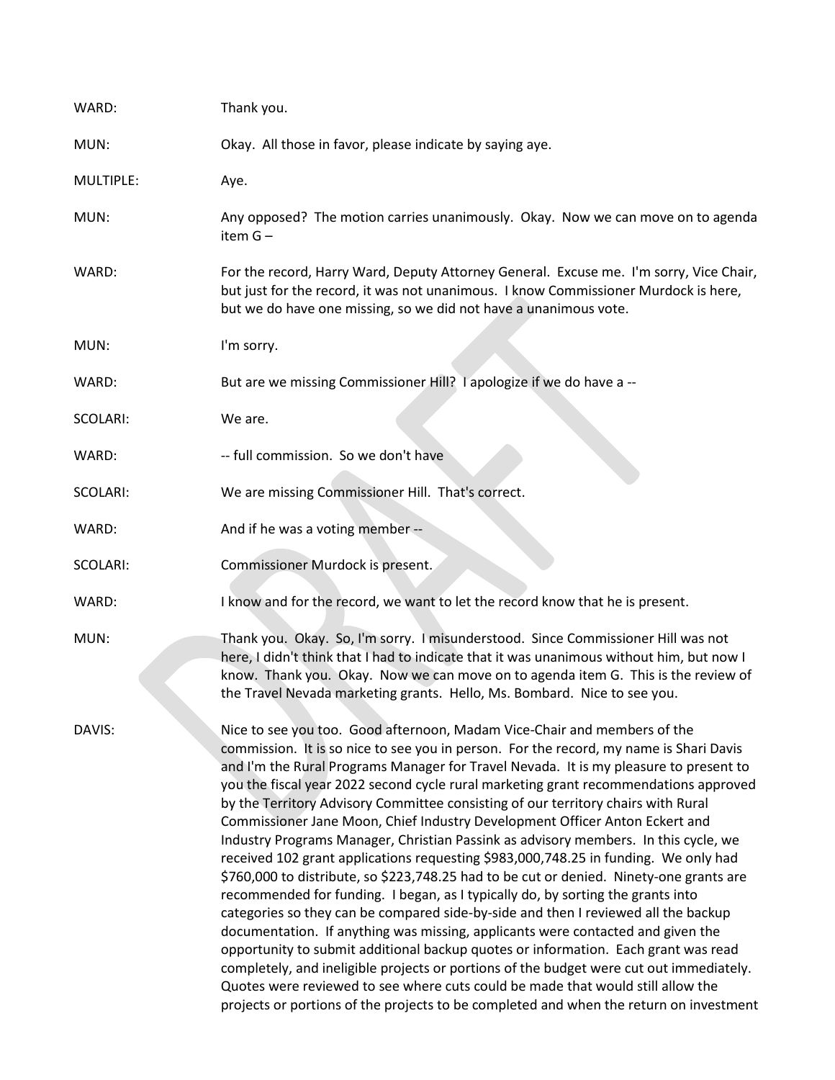| WARD:     | Thank you.                                                                                                                                                                                                                                                                                                                                                                                                                                                                                                                                                                                                                                                                                                                                                                                                                                                                                                                                                                                                                                                                                                                                                                                                                                                                                                                                                                                                                 |
|-----------|----------------------------------------------------------------------------------------------------------------------------------------------------------------------------------------------------------------------------------------------------------------------------------------------------------------------------------------------------------------------------------------------------------------------------------------------------------------------------------------------------------------------------------------------------------------------------------------------------------------------------------------------------------------------------------------------------------------------------------------------------------------------------------------------------------------------------------------------------------------------------------------------------------------------------------------------------------------------------------------------------------------------------------------------------------------------------------------------------------------------------------------------------------------------------------------------------------------------------------------------------------------------------------------------------------------------------------------------------------------------------------------------------------------------------|
| MUN:      | Okay. All those in favor, please indicate by saying aye.                                                                                                                                                                                                                                                                                                                                                                                                                                                                                                                                                                                                                                                                                                                                                                                                                                                                                                                                                                                                                                                                                                                                                                                                                                                                                                                                                                   |
| MULTIPLE: | Aye.                                                                                                                                                                                                                                                                                                                                                                                                                                                                                                                                                                                                                                                                                                                                                                                                                                                                                                                                                                                                                                                                                                                                                                                                                                                                                                                                                                                                                       |
| MUN:      | Any opposed? The motion carries unanimously. Okay. Now we can move on to agenda<br>item G-                                                                                                                                                                                                                                                                                                                                                                                                                                                                                                                                                                                                                                                                                                                                                                                                                                                                                                                                                                                                                                                                                                                                                                                                                                                                                                                                 |
| WARD:     | For the record, Harry Ward, Deputy Attorney General. Excuse me. I'm sorry, Vice Chair,<br>but just for the record, it was not unanimous. I know Commissioner Murdock is here,<br>but we do have one missing, so we did not have a unanimous vote.                                                                                                                                                                                                                                                                                                                                                                                                                                                                                                                                                                                                                                                                                                                                                                                                                                                                                                                                                                                                                                                                                                                                                                          |
| MUN:      | I'm sorry.                                                                                                                                                                                                                                                                                                                                                                                                                                                                                                                                                                                                                                                                                                                                                                                                                                                                                                                                                                                                                                                                                                                                                                                                                                                                                                                                                                                                                 |
| WARD:     | But are we missing Commissioner Hill? I apologize if we do have a --                                                                                                                                                                                                                                                                                                                                                                                                                                                                                                                                                                                                                                                                                                                                                                                                                                                                                                                                                                                                                                                                                                                                                                                                                                                                                                                                                       |
| SCOLARI:  | We are.                                                                                                                                                                                                                                                                                                                                                                                                                                                                                                                                                                                                                                                                                                                                                                                                                                                                                                                                                                                                                                                                                                                                                                                                                                                                                                                                                                                                                    |
| WARD:     | -- full commission. So we don't have                                                                                                                                                                                                                                                                                                                                                                                                                                                                                                                                                                                                                                                                                                                                                                                                                                                                                                                                                                                                                                                                                                                                                                                                                                                                                                                                                                                       |
| SCOLARI:  | We are missing Commissioner Hill. That's correct.                                                                                                                                                                                                                                                                                                                                                                                                                                                                                                                                                                                                                                                                                                                                                                                                                                                                                                                                                                                                                                                                                                                                                                                                                                                                                                                                                                          |
| WARD:     | And if he was a voting member --                                                                                                                                                                                                                                                                                                                                                                                                                                                                                                                                                                                                                                                                                                                                                                                                                                                                                                                                                                                                                                                                                                                                                                                                                                                                                                                                                                                           |
| SCOLARI:  | Commissioner Murdock is present.                                                                                                                                                                                                                                                                                                                                                                                                                                                                                                                                                                                                                                                                                                                                                                                                                                                                                                                                                                                                                                                                                                                                                                                                                                                                                                                                                                                           |
| WARD:     | I know and for the record, we want to let the record know that he is present.                                                                                                                                                                                                                                                                                                                                                                                                                                                                                                                                                                                                                                                                                                                                                                                                                                                                                                                                                                                                                                                                                                                                                                                                                                                                                                                                              |
| MUN:      | Thank you. Okay. So, I'm sorry. I misunderstood. Since Commissioner Hill was not<br>here, I didn't think that I had to indicate that it was unanimous without him, but now I<br>know. Thank you. Okay. Now we can move on to agenda item G. This is the review of<br>the Travel Nevada marketing grants. Hello, Ms. Bombard. Nice to see you.                                                                                                                                                                                                                                                                                                                                                                                                                                                                                                                                                                                                                                                                                                                                                                                                                                                                                                                                                                                                                                                                              |
| DAVIS:    | Nice to see you too. Good afternoon, Madam Vice-Chair and members of the<br>commission. It is so nice to see you in person. For the record, my name is Shari Davis<br>and I'm the Rural Programs Manager for Travel Nevada. It is my pleasure to present to<br>you the fiscal year 2022 second cycle rural marketing grant recommendations approved<br>by the Territory Advisory Committee consisting of our territory chairs with Rural<br>Commissioner Jane Moon, Chief Industry Development Officer Anton Eckert and<br>Industry Programs Manager, Christian Passink as advisory members. In this cycle, we<br>received 102 grant applications requesting \$983,000,748.25 in funding. We only had<br>\$760,000 to distribute, so \$223,748.25 had to be cut or denied. Ninety-one grants are<br>recommended for funding. I began, as I typically do, by sorting the grants into<br>categories so they can be compared side-by-side and then I reviewed all the backup<br>documentation. If anything was missing, applicants were contacted and given the<br>opportunity to submit additional backup quotes or information. Each grant was read<br>completely, and ineligible projects or portions of the budget were cut out immediately.<br>Quotes were reviewed to see where cuts could be made that would still allow the<br>projects or portions of the projects to be completed and when the return on investment |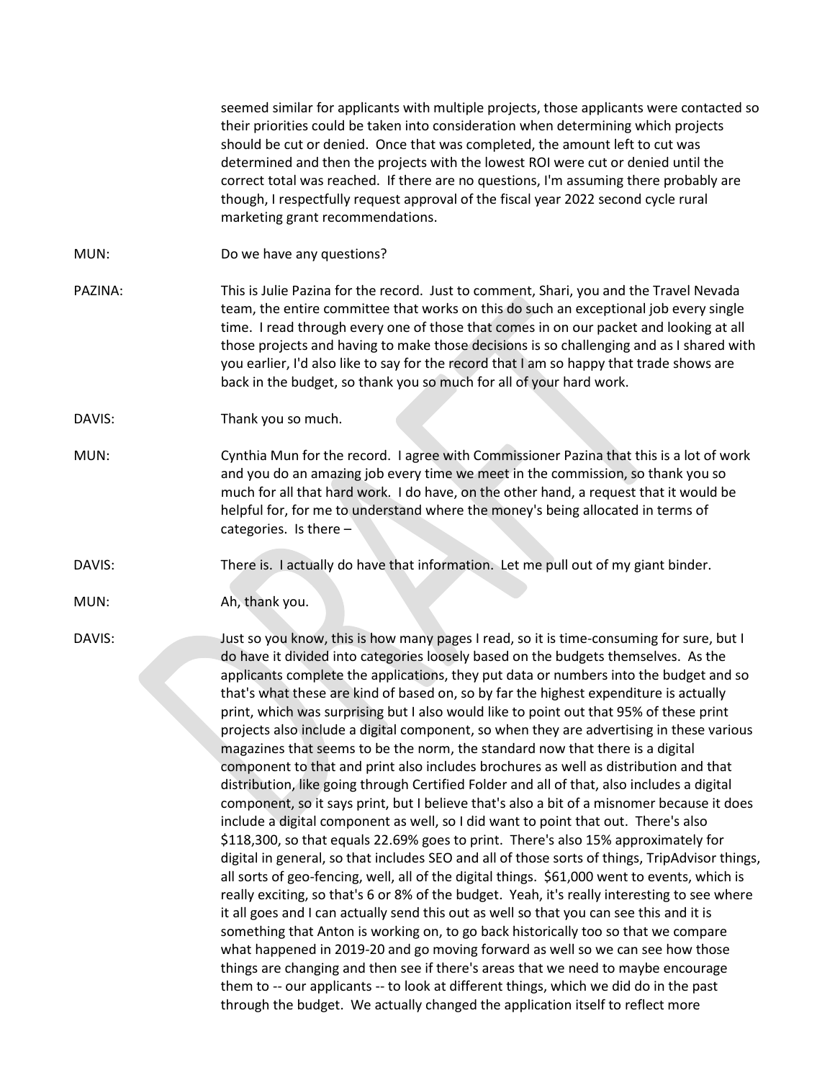seemed similar for applicants with multiple projects, those applicants were contacted so their priorities could be taken into consideration when determining which projects should be cut or denied. Once that was completed, the amount left to cut was determined and then the projects with the lowest ROI were cut or denied until the correct total was reached. If there are no questions, I'm assuming there probably are though, I respectfully request approval of the fiscal year 2022 second cycle rural marketing grant recommendations.

- MUN: Do we have any questions?
- PAZINA: This is Julie Pazina for the record. Just to comment, Shari, you and the Travel Nevada team, the entire committee that works on this do such an exceptional job every single time. I read through every one of those that comes in on our packet and looking at all those projects and having to make those decisions is so challenging and as I shared with you earlier, I'd also like to say for the record that I am so happy that trade shows are back in the budget, so thank you so much for all of your hard work.
- DAVIS: Thank you so much.
- MUN: Cynthia Mun for the record. I agree with Commissioner Pazina that this is a lot of work and you do an amazing job every time we meet in the commission, so thank you so much for all that hard work. I do have, on the other hand, a request that it would be helpful for, for me to understand where the money's being allocated in terms of categories. Is there –
- DAVIS: There is. I actually do have that information. Let me pull out of my giant binder.
- MUN: Ah, thank you.
- 

DAVIS: Just so you know, this is how many pages I read, so it is time-consuming for sure, but I do have it divided into categories loosely based on the budgets themselves. As the applicants complete the applications, they put data or numbers into the budget and so that's what these are kind of based on, so by far the highest expenditure is actually print, which was surprising but I also would like to point out that 95% of these print projects also include a digital component, so when they are advertising in these various magazines that seems to be the norm, the standard now that there is a digital component to that and print also includes brochures as well as distribution and that distribution, like going through Certified Folder and all of that, also includes a digital component, so it says print, but I believe that's also a bit of a misnomer because it does include a digital component as well, so I did want to point that out. There's also \$118,300, so that equals 22.69% goes to print. There's also 15% approximately for digital in general, so that includes SEO and all of those sorts of things, TripAdvisor things, all sorts of geo-fencing, well, all of the digital things. \$61,000 went to events, which is really exciting, so that's 6 or 8% of the budget. Yeah, it's really interesting to see where it all goes and I can actually send this out as well so that you can see this and it is something that Anton is working on, to go back historically too so that we compare what happened in 2019-20 and go moving forward as well so we can see how those things are changing and then see if there's areas that we need to maybe encourage them to -- our applicants -- to look at different things, which we did do in the past through the budget. We actually changed the application itself to reflect more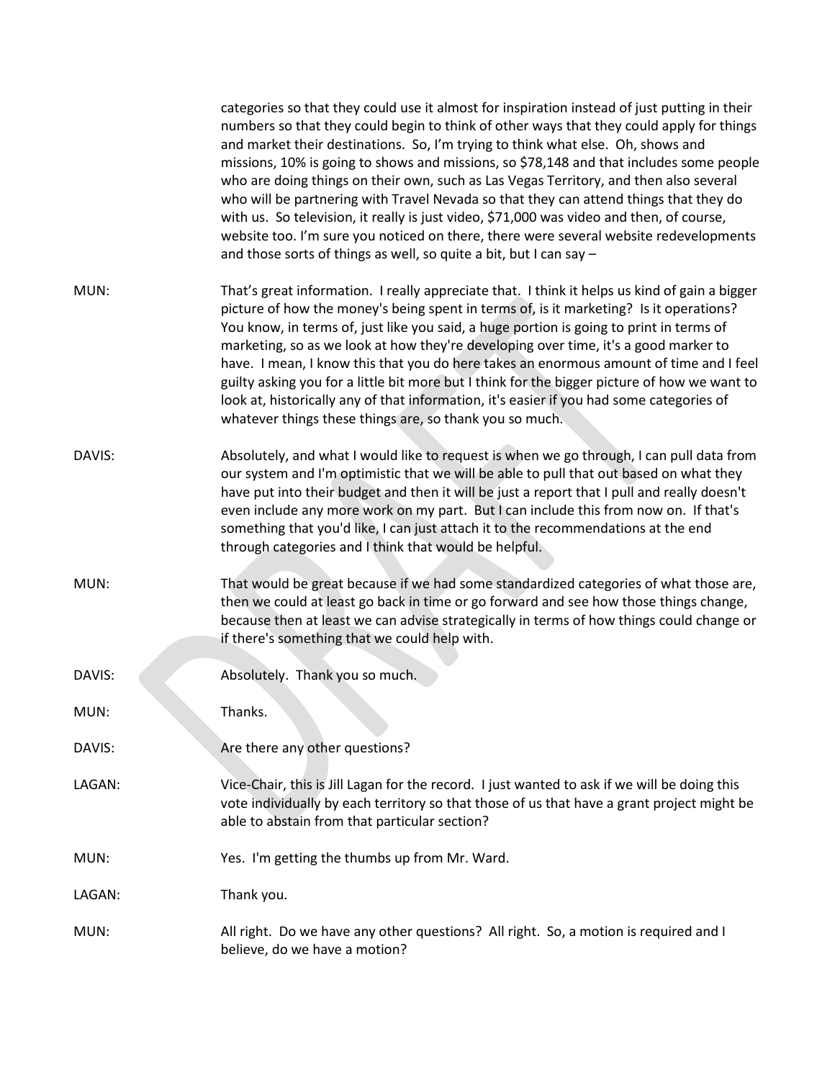|        | categories so that they could use it almost for inspiration instead of just putting in their<br>numbers so that they could begin to think of other ways that they could apply for things<br>and market their destinations. So, I'm trying to think what else. Oh, shows and<br>missions, 10% is going to shows and missions, so \$78,148 and that includes some people<br>who are doing things on their own, such as Las Vegas Territory, and then also several<br>who will be partnering with Travel Nevada so that they can attend things that they do<br>with us. So television, it really is just video, \$71,000 was video and then, of course,<br>website too. I'm sure you noticed on there, there were several website redevelopments<br>and those sorts of things as well, so quite a bit, but I can say - |
|--------|---------------------------------------------------------------------------------------------------------------------------------------------------------------------------------------------------------------------------------------------------------------------------------------------------------------------------------------------------------------------------------------------------------------------------------------------------------------------------------------------------------------------------------------------------------------------------------------------------------------------------------------------------------------------------------------------------------------------------------------------------------------------------------------------------------------------|
| MUN:   | That's great information. I really appreciate that. I think it helps us kind of gain a bigger<br>picture of how the money's being spent in terms of, is it marketing? Is it operations?<br>You know, in terms of, just like you said, a huge portion is going to print in terms of<br>marketing, so as we look at how they're developing over time, it's a good marker to<br>have. I mean, I know this that you do here takes an enormous amount of time and I feel<br>guilty asking you for a little bit more but I think for the bigger picture of how we want to<br>look at, historically any of that information, it's easier if you had some categories of<br>whatever things these things are, so thank you so much.                                                                                          |
| DAVIS: | Absolutely, and what I would like to request is when we go through, I can pull data from<br>our system and I'm optimistic that we will be able to pull that out based on what they<br>have put into their budget and then it will be just a report that I pull and really doesn't<br>even include any more work on my part. But I can include this from now on. If that's<br>something that you'd like, I can just attach it to the recommendations at the end<br>through categories and I think that would be helpful.                                                                                                                                                                                                                                                                                             |
| MUN:   | That would be great because if we had some standardized categories of what those are,<br>then we could at least go back in time or go forward and see how those things change,<br>because then at least we can advise strategically in terms of how things could change or<br>if there's something that we could help with.                                                                                                                                                                                                                                                                                                                                                                                                                                                                                         |
| DAVIS: | Absolutely. Thank you so much.                                                                                                                                                                                                                                                                                                                                                                                                                                                                                                                                                                                                                                                                                                                                                                                      |
| MUN:   | Thanks.                                                                                                                                                                                                                                                                                                                                                                                                                                                                                                                                                                                                                                                                                                                                                                                                             |
| DAVIS: | Are there any other questions?                                                                                                                                                                                                                                                                                                                                                                                                                                                                                                                                                                                                                                                                                                                                                                                      |
| LAGAN: | Vice-Chair, this is Jill Lagan for the record. I just wanted to ask if we will be doing this<br>vote individually by each territory so that those of us that have a grant project might be<br>able to abstain from that particular section?                                                                                                                                                                                                                                                                                                                                                                                                                                                                                                                                                                         |
| MUN:   | Yes. I'm getting the thumbs up from Mr. Ward.                                                                                                                                                                                                                                                                                                                                                                                                                                                                                                                                                                                                                                                                                                                                                                       |
| LAGAN: | Thank you.                                                                                                                                                                                                                                                                                                                                                                                                                                                                                                                                                                                                                                                                                                                                                                                                          |
| MUN:   | All right. Do we have any other questions? All right. So, a motion is required and I<br>believe, do we have a motion?                                                                                                                                                                                                                                                                                                                                                                                                                                                                                                                                                                                                                                                                                               |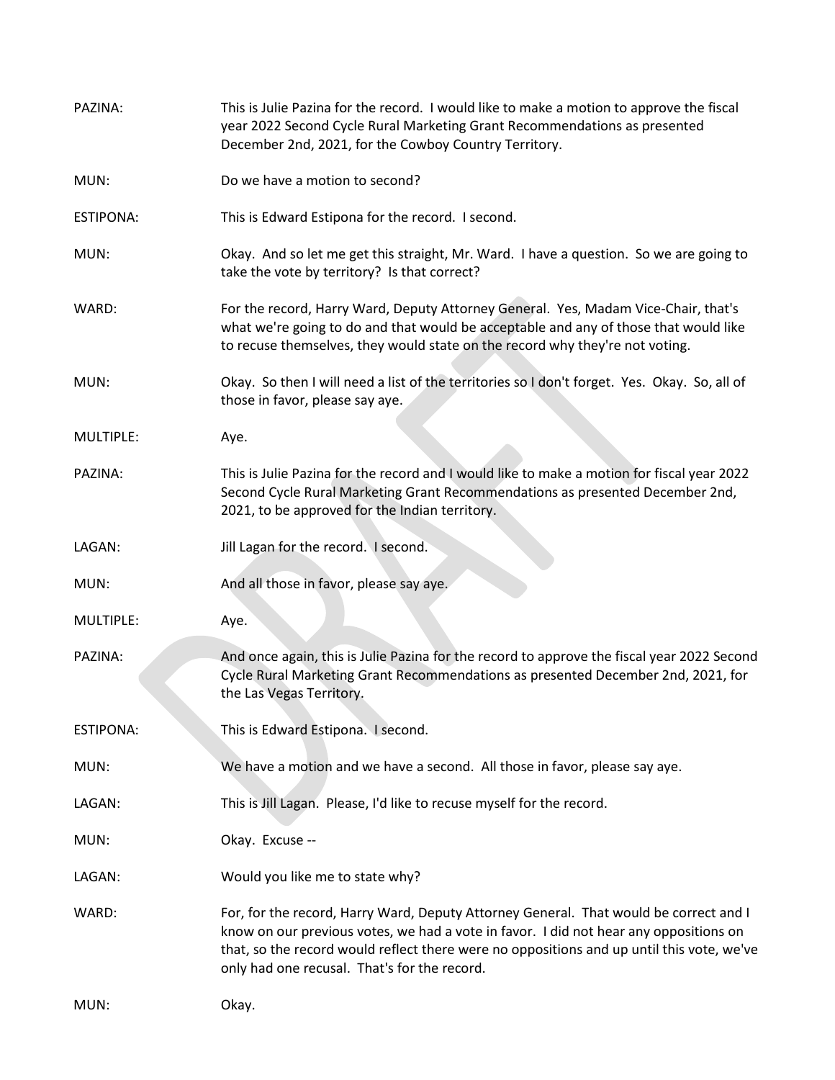| PAZINA:          | This is Julie Pazina for the record. I would like to make a motion to approve the fiscal<br>year 2022 Second Cycle Rural Marketing Grant Recommendations as presented<br>December 2nd, 2021, for the Cowboy Country Territory.                                                                                              |
|------------------|-----------------------------------------------------------------------------------------------------------------------------------------------------------------------------------------------------------------------------------------------------------------------------------------------------------------------------|
| MUN:             | Do we have a motion to second?                                                                                                                                                                                                                                                                                              |
| <b>ESTIPONA:</b> | This is Edward Estipona for the record. I second.                                                                                                                                                                                                                                                                           |
| MUN:             | Okay. And so let me get this straight, Mr. Ward. I have a question. So we are going to<br>take the vote by territory? Is that correct?                                                                                                                                                                                      |
| WARD:            | For the record, Harry Ward, Deputy Attorney General. Yes, Madam Vice-Chair, that's<br>what we're going to do and that would be acceptable and any of those that would like<br>to recuse themselves, they would state on the record why they're not voting.                                                                  |
| MUN:             | Okay. So then I will need a list of the territories so I don't forget. Yes. Okay. So, all of<br>those in favor, please say aye.                                                                                                                                                                                             |
| MULTIPLE:        | Aye.                                                                                                                                                                                                                                                                                                                        |
| PAZINA:          | This is Julie Pazina for the record and I would like to make a motion for fiscal year 2022<br>Second Cycle Rural Marketing Grant Recommendations as presented December 2nd,<br>2021, to be approved for the Indian territory.                                                                                               |
| LAGAN:           | Jill Lagan for the record. I second.                                                                                                                                                                                                                                                                                        |
| MUN:             | And all those in favor, please say aye.                                                                                                                                                                                                                                                                                     |
| MULTIPLE:        | Aye.                                                                                                                                                                                                                                                                                                                        |
| PAZINA:          | And once again, this is Julie Pazina for the record to approve the fiscal year 2022 Second<br>Cycle Rural Marketing Grant Recommendations as presented December 2nd, 2021, for<br>the Las Vegas Territory.                                                                                                                  |
| <b>ESTIPONA:</b> | This is Edward Estipona. I second.                                                                                                                                                                                                                                                                                          |
| MUN:             | We have a motion and we have a second. All those in favor, please say aye.                                                                                                                                                                                                                                                  |
| LAGAN:           | This is Jill Lagan. Please, I'd like to recuse myself for the record.                                                                                                                                                                                                                                                       |
| MUN:             | Okay. Excuse --                                                                                                                                                                                                                                                                                                             |
| LAGAN:           | Would you like me to state why?                                                                                                                                                                                                                                                                                             |
| WARD:            | For, for the record, Harry Ward, Deputy Attorney General. That would be correct and I<br>know on our previous votes, we had a vote in favor. I did not hear any oppositions on<br>that, so the record would reflect there were no oppositions and up until this vote, we've<br>only had one recusal. That's for the record. |
| MUN:             | Okay.                                                                                                                                                                                                                                                                                                                       |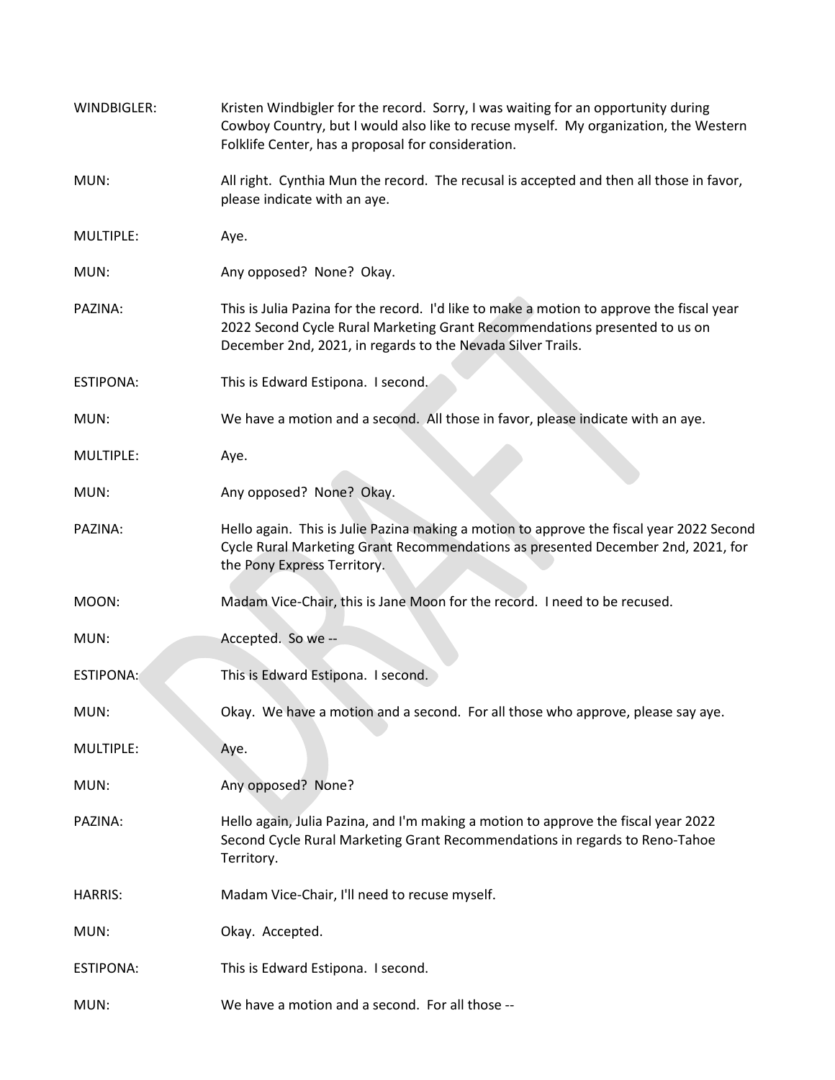| WINDBIGLER:      | Kristen Windbigler for the record. Sorry, I was waiting for an opportunity during<br>Cowboy Country, but I would also like to recuse myself. My organization, the Western<br>Folklife Center, has a proposal for consideration.        |
|------------------|----------------------------------------------------------------------------------------------------------------------------------------------------------------------------------------------------------------------------------------|
| MUN:             | All right. Cynthia Mun the record. The recusal is accepted and then all those in favor,<br>please indicate with an aye.                                                                                                                |
| MULTIPLE:        | Aye.                                                                                                                                                                                                                                   |
| MUN:             | Any opposed? None? Okay.                                                                                                                                                                                                               |
| PAZINA:          | This is Julia Pazina for the record. I'd like to make a motion to approve the fiscal year<br>2022 Second Cycle Rural Marketing Grant Recommendations presented to us on<br>December 2nd, 2021, in regards to the Nevada Silver Trails. |
| <b>ESTIPONA:</b> | This is Edward Estipona. I second.                                                                                                                                                                                                     |
| MUN:             | We have a motion and a second. All those in favor, please indicate with an aye.                                                                                                                                                        |
| MULTIPLE:        | Aye.                                                                                                                                                                                                                                   |
| MUN:             | Any opposed? None? Okay.                                                                                                                                                                                                               |
| PAZINA:          | Hello again. This is Julie Pazina making a motion to approve the fiscal year 2022 Second<br>Cycle Rural Marketing Grant Recommendations as presented December 2nd, 2021, for<br>the Pony Express Territory.                            |
| MOON:            | Madam Vice-Chair, this is Jane Moon for the record. I need to be recused.                                                                                                                                                              |
| MUN:             | Accepted. So we --                                                                                                                                                                                                                     |
| <b>ESTIPONA:</b> | This is Edward Estipona. I second.                                                                                                                                                                                                     |
| MUN:             | Okay. We have a motion and a second. For all those who approve, please say aye.                                                                                                                                                        |
| MULTIPLE:        | Aye.                                                                                                                                                                                                                                   |
| MUN:             | Any opposed? None?                                                                                                                                                                                                                     |
| PAZINA:          | Hello again, Julia Pazina, and I'm making a motion to approve the fiscal year 2022<br>Second Cycle Rural Marketing Grant Recommendations in regards to Reno-Tahoe<br>Territory.                                                        |
| <b>HARRIS:</b>   | Madam Vice-Chair, I'll need to recuse myself.                                                                                                                                                                                          |
| MUN:             | Okay. Accepted.                                                                                                                                                                                                                        |
| <b>ESTIPONA:</b> | This is Edward Estipona. I second.                                                                                                                                                                                                     |
| MUN:             | We have a motion and a second. For all those --                                                                                                                                                                                        |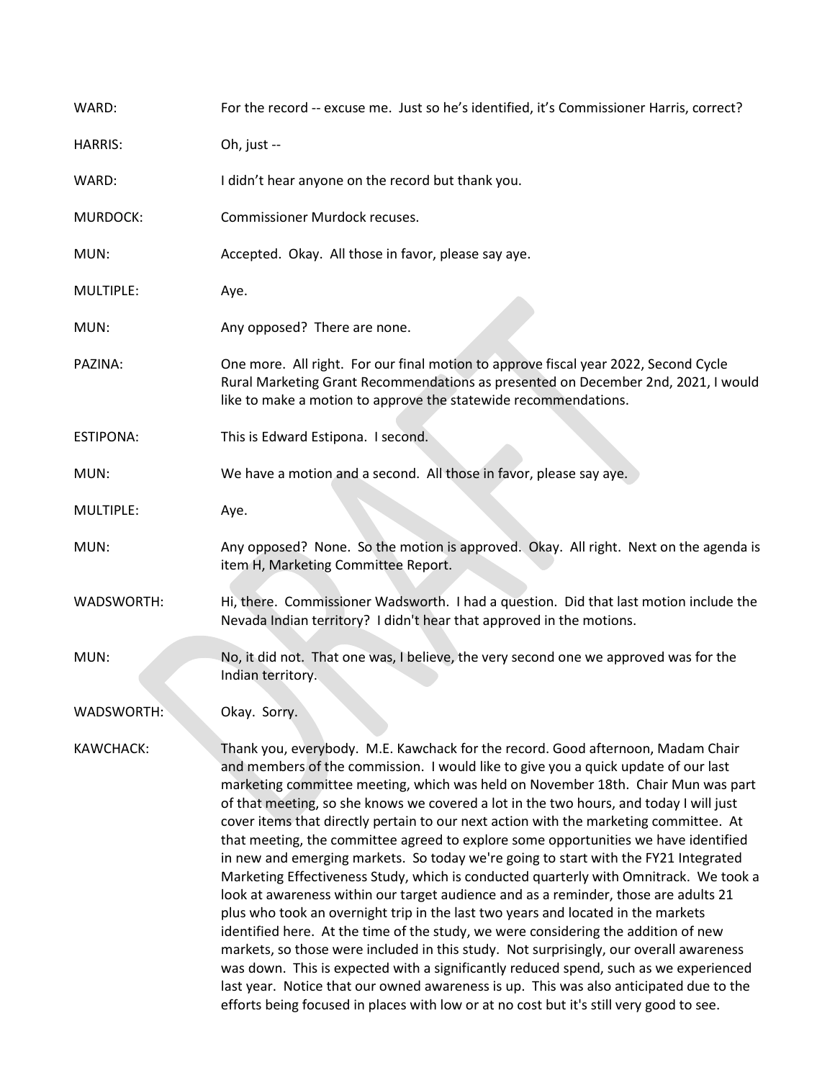| WARD:            | For the record -- excuse me. Just so he's identified, it's Commissioner Harris, correct?                                                                                                                                                                                                                                                                                                                                                                                                                                                                                                                                                                                                                                                                                                                                                                                                                                                                                                                                                                                                                                                                                                                                                                                                                                                                     |
|------------------|--------------------------------------------------------------------------------------------------------------------------------------------------------------------------------------------------------------------------------------------------------------------------------------------------------------------------------------------------------------------------------------------------------------------------------------------------------------------------------------------------------------------------------------------------------------------------------------------------------------------------------------------------------------------------------------------------------------------------------------------------------------------------------------------------------------------------------------------------------------------------------------------------------------------------------------------------------------------------------------------------------------------------------------------------------------------------------------------------------------------------------------------------------------------------------------------------------------------------------------------------------------------------------------------------------------------------------------------------------------|
| <b>HARRIS:</b>   | Oh, just --                                                                                                                                                                                                                                                                                                                                                                                                                                                                                                                                                                                                                                                                                                                                                                                                                                                                                                                                                                                                                                                                                                                                                                                                                                                                                                                                                  |
| WARD:            | I didn't hear anyone on the record but thank you.                                                                                                                                                                                                                                                                                                                                                                                                                                                                                                                                                                                                                                                                                                                                                                                                                                                                                                                                                                                                                                                                                                                                                                                                                                                                                                            |
| <b>MURDOCK:</b>  | Commissioner Murdock recuses.                                                                                                                                                                                                                                                                                                                                                                                                                                                                                                                                                                                                                                                                                                                                                                                                                                                                                                                                                                                                                                                                                                                                                                                                                                                                                                                                |
| MUN:             | Accepted. Okay. All those in favor, please say aye.                                                                                                                                                                                                                                                                                                                                                                                                                                                                                                                                                                                                                                                                                                                                                                                                                                                                                                                                                                                                                                                                                                                                                                                                                                                                                                          |
| MULTIPLE:        | Aye.                                                                                                                                                                                                                                                                                                                                                                                                                                                                                                                                                                                                                                                                                                                                                                                                                                                                                                                                                                                                                                                                                                                                                                                                                                                                                                                                                         |
| MUN:             | Any opposed? There are none.                                                                                                                                                                                                                                                                                                                                                                                                                                                                                                                                                                                                                                                                                                                                                                                                                                                                                                                                                                                                                                                                                                                                                                                                                                                                                                                                 |
| PAZINA:          | One more. All right. For our final motion to approve fiscal year 2022, Second Cycle<br>Rural Marketing Grant Recommendations as presented on December 2nd, 2021, I would<br>like to make a motion to approve the statewide recommendations.                                                                                                                                                                                                                                                                                                                                                                                                                                                                                                                                                                                                                                                                                                                                                                                                                                                                                                                                                                                                                                                                                                                  |
| <b>ESTIPONA:</b> | This is Edward Estipona. I second.                                                                                                                                                                                                                                                                                                                                                                                                                                                                                                                                                                                                                                                                                                                                                                                                                                                                                                                                                                                                                                                                                                                                                                                                                                                                                                                           |
| MUN:             | We have a motion and a second. All those in favor, please say aye.                                                                                                                                                                                                                                                                                                                                                                                                                                                                                                                                                                                                                                                                                                                                                                                                                                                                                                                                                                                                                                                                                                                                                                                                                                                                                           |
| MULTIPLE:        | Aye.                                                                                                                                                                                                                                                                                                                                                                                                                                                                                                                                                                                                                                                                                                                                                                                                                                                                                                                                                                                                                                                                                                                                                                                                                                                                                                                                                         |
| MUN:             | Any opposed? None. So the motion is approved. Okay. All right. Next on the agenda is<br>item H, Marketing Committee Report.                                                                                                                                                                                                                                                                                                                                                                                                                                                                                                                                                                                                                                                                                                                                                                                                                                                                                                                                                                                                                                                                                                                                                                                                                                  |
| WADSWORTH:       | Hi, there. Commissioner Wadsworth. I had a question. Did that last motion include the<br>Nevada Indian territory? I didn't hear that approved in the motions.                                                                                                                                                                                                                                                                                                                                                                                                                                                                                                                                                                                                                                                                                                                                                                                                                                                                                                                                                                                                                                                                                                                                                                                                |
| MUN:             | No, it did not. That one was, I believe, the very second one we approved was for the<br>Indian territory.                                                                                                                                                                                                                                                                                                                                                                                                                                                                                                                                                                                                                                                                                                                                                                                                                                                                                                                                                                                                                                                                                                                                                                                                                                                    |
| WADSWORTH:       | Okay. Sorry.                                                                                                                                                                                                                                                                                                                                                                                                                                                                                                                                                                                                                                                                                                                                                                                                                                                                                                                                                                                                                                                                                                                                                                                                                                                                                                                                                 |
| KAWCHACK:        | Thank you, everybody. M.E. Kawchack for the record. Good afternoon, Madam Chair<br>and members of the commission. I would like to give you a quick update of our last<br>marketing committee meeting, which was held on November 18th. Chair Mun was part<br>of that meeting, so she knows we covered a lot in the two hours, and today I will just<br>cover items that directly pertain to our next action with the marketing committee. At<br>that meeting, the committee agreed to explore some opportunities we have identified<br>in new and emerging markets. So today we're going to start with the FY21 Integrated<br>Marketing Effectiveness Study, which is conducted quarterly with Omnitrack. We took a<br>look at awareness within our target audience and as a reminder, those are adults 21<br>plus who took an overnight trip in the last two years and located in the markets<br>identified here. At the time of the study, we were considering the addition of new<br>markets, so those were included in this study. Not surprisingly, our overall awareness<br>was down. This is expected with a significantly reduced spend, such as we experienced<br>last year. Notice that our owned awareness is up. This was also anticipated due to the<br>efforts being focused in places with low or at no cost but it's still very good to see. |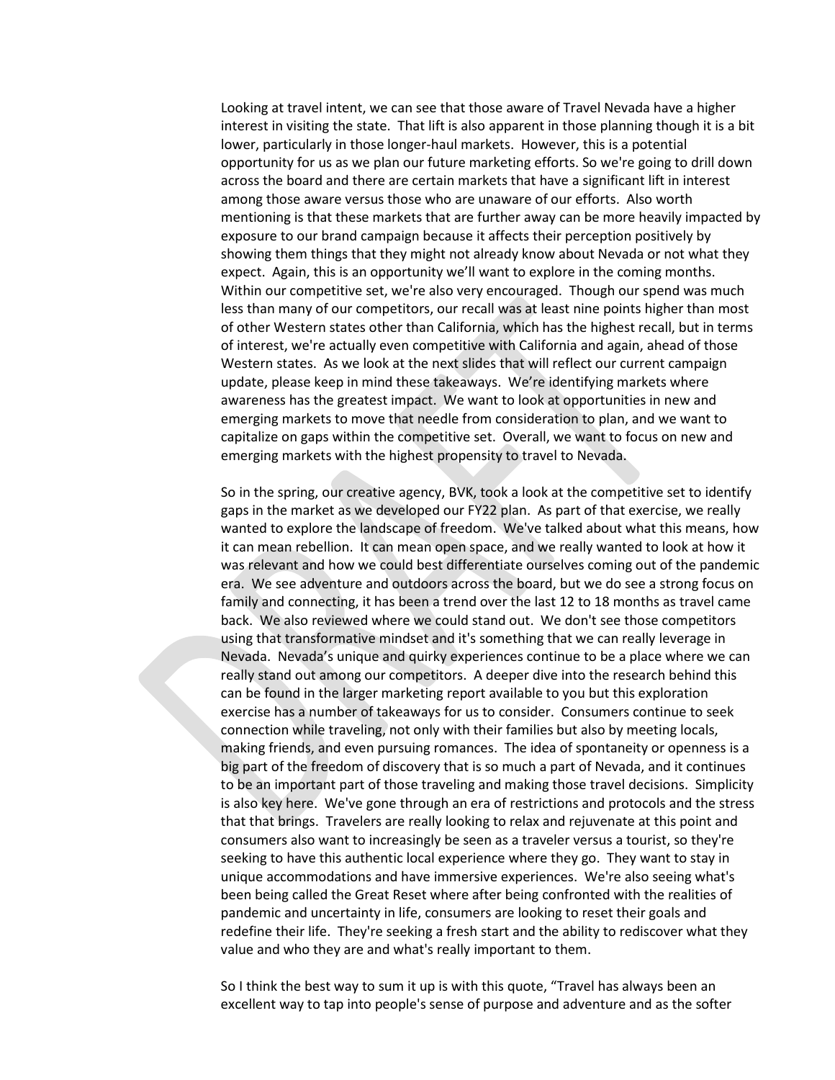Looking at travel intent, we can see that those aware of Travel Nevada have a higher interest in visiting the state. That lift is also apparent in those planning though it is a bit lower, particularly in those longer-haul markets. However, this is a potential opportunity for us as we plan our future marketing efforts. So we're going to drill down across the board and there are certain markets that have a significant lift in interest among those aware versus those who are unaware of our efforts. Also worth mentioning is that these markets that are further away can be more heavily impacted by exposure to our brand campaign because it affects their perception positively by showing them things that they might not already know about Nevada or not what they expect. Again, this is an opportunity we'll want to explore in the coming months. Within our competitive set, we're also very encouraged. Though our spend was much less than many of our competitors, our recall was at least nine points higher than most of other Western states other than California, which has the highest recall, but in terms of interest, we're actually even competitive with California and again, ahead of those Western states. As we look at the next slides that will reflect our current campaign update, please keep in mind these takeaways. We're identifying markets where awareness has the greatest impact. We want to look at opportunities in new and emerging markets to move that needle from consideration to plan, and we want to capitalize on gaps within the competitive set. Overall, we want to focus on new and emerging markets with the highest propensity to travel to Nevada.

So in the spring, our creative agency, BVK, took a look at the competitive set to identify gaps in the market as we developed our FY22 plan. As part of that exercise, we really wanted to explore the landscape of freedom. We've talked about what this means, how it can mean rebellion. It can mean open space, and we really wanted to look at how it was relevant and how we could best differentiate ourselves coming out of the pandemic era. We see adventure and outdoors across the board, but we do see a strong focus on family and connecting, it has been a trend over the last 12 to 18 months as travel came back. We also reviewed where we could stand out. We don't see those competitors using that transformative mindset and it's something that we can really leverage in Nevada. Nevada's unique and quirky experiences continue to be a place where we can really stand out among our competitors. A deeper dive into the research behind this can be found in the larger marketing report available to you but this exploration exercise has a number of takeaways for us to consider. Consumers continue to seek connection while traveling, not only with their families but also by meeting locals, making friends, and even pursuing romances. The idea of spontaneity or openness is a big part of the freedom of discovery that is so much a part of Nevada, and it continues to be an important part of those traveling and making those travel decisions. Simplicity is also key here. We've gone through an era of restrictions and protocols and the stress that that brings. Travelers are really looking to relax and rejuvenate at this point and consumers also want to increasingly be seen as a traveler versus a tourist, so they're seeking to have this authentic local experience where they go. They want to stay in unique accommodations and have immersive experiences. We're also seeing what's been being called the Great Reset where after being confronted with the realities of pandemic and uncertainty in life, consumers are looking to reset their goals and redefine their life. They're seeking a fresh start and the ability to rediscover what they value and who they are and what's really important to them.

So I think the best way to sum it up is with this quote, "Travel has always been an excellent way to tap into people's sense of purpose and adventure and as the softer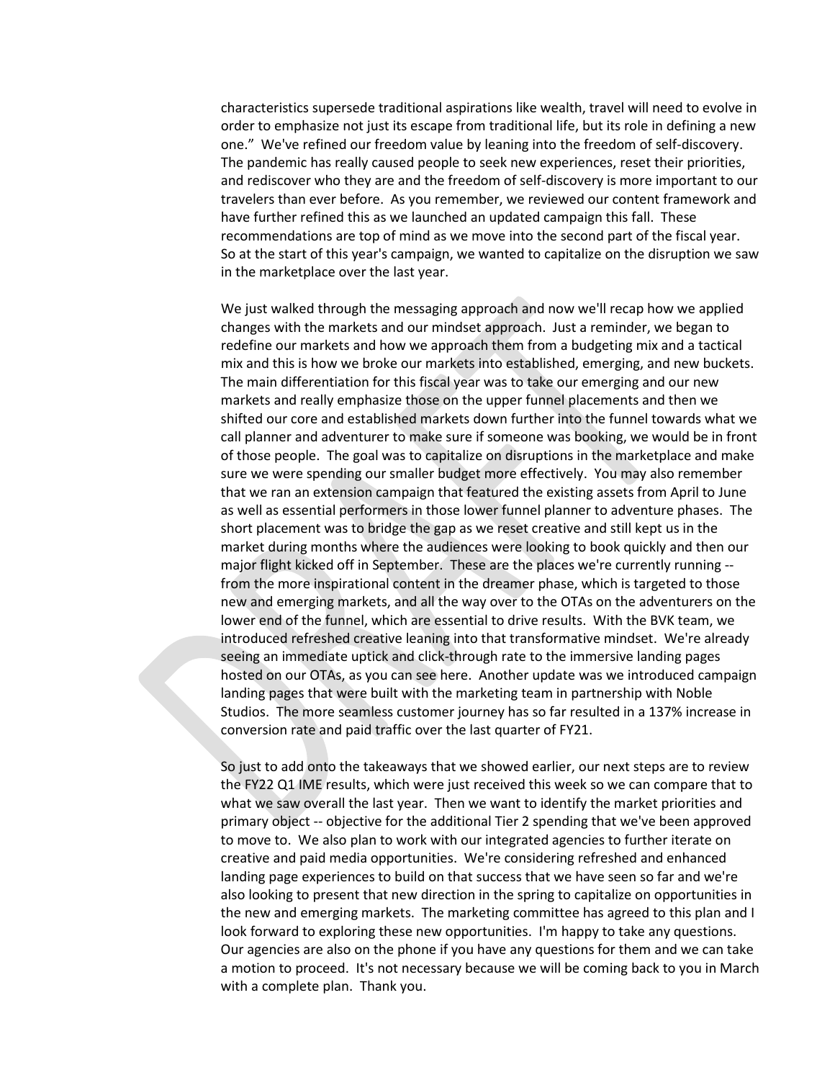characteristics supersede traditional aspirations like wealth, travel will need to evolve in order to emphasize not just its escape from traditional life, but its role in defining a new one." We've refined our freedom value by leaning into the freedom of self-discovery. The pandemic has really caused people to seek new experiences, reset their priorities, and rediscover who they are and the freedom of self-discovery is more important to our travelers than ever before. As you remember, we reviewed our content framework and have further refined this as we launched an updated campaign this fall. These recommendations are top of mind as we move into the second part of the fiscal year. So at the start of this year's campaign, we wanted to capitalize on the disruption we saw in the marketplace over the last year.

We just walked through the messaging approach and now we'll recap how we applied changes with the markets and our mindset approach. Just a reminder, we began to redefine our markets and how we approach them from a budgeting mix and a tactical mix and this is how we broke our markets into established, emerging, and new buckets. The main differentiation for this fiscal year was to take our emerging and our new markets and really emphasize those on the upper funnel placements and then we shifted our core and established markets down further into the funnel towards what we call planner and adventurer to make sure if someone was booking, we would be in front of those people. The goal was to capitalize on disruptions in the marketplace and make sure we were spending our smaller budget more effectively. You may also remember that we ran an extension campaign that featured the existing assets from April to June as well as essential performers in those lower funnel planner to adventure phases. The short placement was to bridge the gap as we reset creative and still kept us in the market during months where the audiences were looking to book quickly and then our major flight kicked off in September. These are the places we're currently running - from the more inspirational content in the dreamer phase, which is targeted to those new and emerging markets, and all the way over to the OTAs on the adventurers on the lower end of the funnel, which are essential to drive results. With the BVK team, we introduced refreshed creative leaning into that transformative mindset. We're already seeing an immediate uptick and click-through rate to the immersive landing pages hosted on our OTAs, as you can see here. Another update was we introduced campaign landing pages that were built with the marketing team in partnership with Noble Studios. The more seamless customer journey has so far resulted in a 137% increase in conversion rate and paid traffic over the last quarter of FY21.

So just to add onto the takeaways that we showed earlier, our next steps are to review the FY22 Q1 IME results, which were just received this week so we can compare that to what we saw overall the last year. Then we want to identify the market priorities and primary object -- objective for the additional Tier 2 spending that we've been approved to move to. We also plan to work with our integrated agencies to further iterate on creative and paid media opportunities. We're considering refreshed and enhanced landing page experiences to build on that success that we have seen so far and we're also looking to present that new direction in the spring to capitalize on opportunities in the new and emerging markets. The marketing committee has agreed to this plan and I look forward to exploring these new opportunities. I'm happy to take any questions. Our agencies are also on the phone if you have any questions for them and we can take a motion to proceed. It's not necessary because we will be coming back to you in March with a complete plan. Thank you.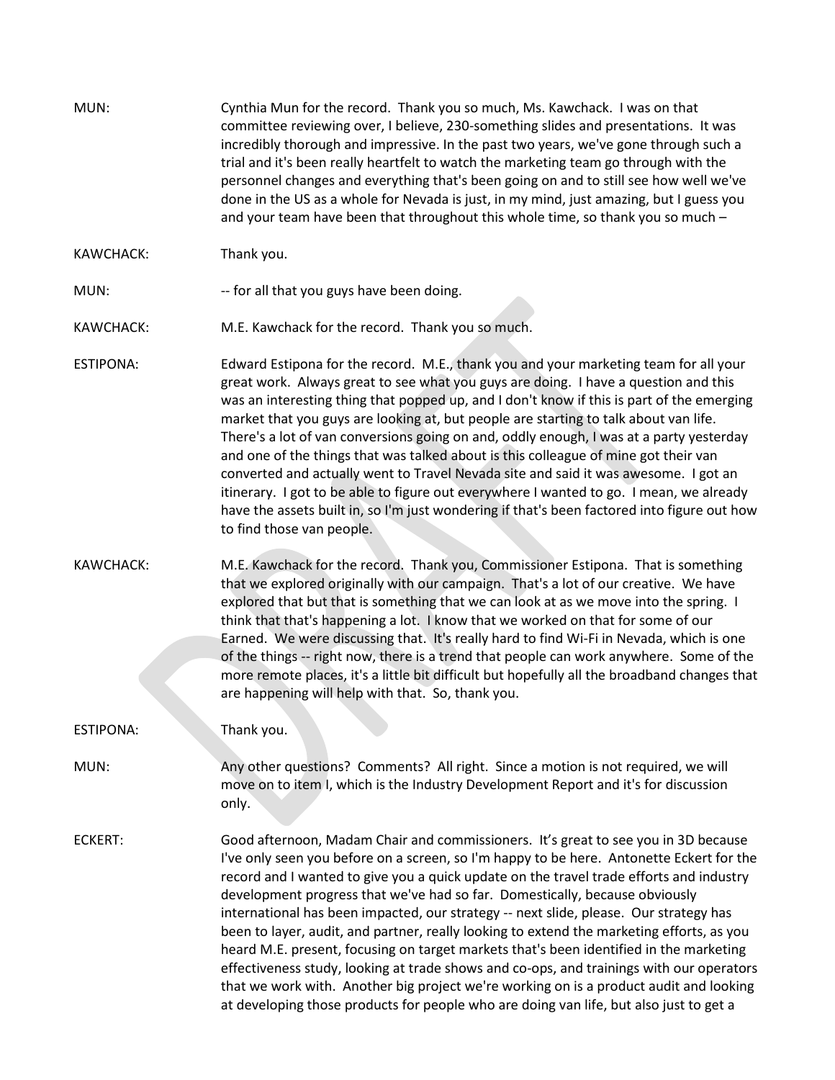| MUN:             | Cynthia Mun for the record. Thank you so much, Ms. Kawchack. I was on that<br>committee reviewing over, I believe, 230-something slides and presentations. It was<br>incredibly thorough and impressive. In the past two years, we've gone through such a<br>trial and it's been really heartfelt to watch the marketing team go through with the<br>personnel changes and everything that's been going on and to still see how well we've<br>done in the US as a whole for Nevada is just, in my mind, just amazing, but I guess you<br>and your team have been that throughout this whole time, so thank you so much -                                                                                                                                                                                                                                                                                                 |
|------------------|--------------------------------------------------------------------------------------------------------------------------------------------------------------------------------------------------------------------------------------------------------------------------------------------------------------------------------------------------------------------------------------------------------------------------------------------------------------------------------------------------------------------------------------------------------------------------------------------------------------------------------------------------------------------------------------------------------------------------------------------------------------------------------------------------------------------------------------------------------------------------------------------------------------------------|
| KAWCHACK:        | Thank you.                                                                                                                                                                                                                                                                                                                                                                                                                                                                                                                                                                                                                                                                                                                                                                                                                                                                                                               |
| MUN:             | -- for all that you guys have been doing.                                                                                                                                                                                                                                                                                                                                                                                                                                                                                                                                                                                                                                                                                                                                                                                                                                                                                |
| <b>KAWCHACK:</b> | M.E. Kawchack for the record. Thank you so much.                                                                                                                                                                                                                                                                                                                                                                                                                                                                                                                                                                                                                                                                                                                                                                                                                                                                         |
| <b>ESTIPONA:</b> | Edward Estipona for the record. M.E., thank you and your marketing team for all your<br>great work. Always great to see what you guys are doing. I have a question and this<br>was an interesting thing that popped up, and I don't know if this is part of the emerging<br>market that you guys are looking at, but people are starting to talk about van life.<br>There's a lot of van conversions going on and, oddly enough, I was at a party yesterday<br>and one of the things that was talked about is this colleague of mine got their van<br>converted and actually went to Travel Nevada site and said it was awesome. I got an<br>itinerary. I got to be able to figure out everywhere I wanted to go. I mean, we already<br>have the assets built in, so I'm just wondering if that's been factored into figure out how<br>to find those van people.                                                         |
| <b>KAWCHACK:</b> | M.E. Kawchack for the record. Thank you, Commissioner Estipona. That is something<br>that we explored originally with our campaign. That's a lot of our creative. We have<br>explored that but that is something that we can look at as we move into the spring. I<br>think that that's happening a lot. I know that we worked on that for some of our<br>Earned. We were discussing that. It's really hard to find Wi-Fi in Nevada, which is one<br>of the things -- right now, there is a trend that people can work anywhere. Some of the<br>more remote places, it's a little bit difficult but hopefully all the broadband changes that<br>are happening will help with that. So, thank you.                                                                                                                                                                                                                        |
| <b>ESTIPONA:</b> | Thank you.                                                                                                                                                                                                                                                                                                                                                                                                                                                                                                                                                                                                                                                                                                                                                                                                                                                                                                               |
| MUN:             | Any other questions? Comments? All right. Since a motion is not required, we will<br>move on to item I, which is the Industry Development Report and it's for discussion<br>only.                                                                                                                                                                                                                                                                                                                                                                                                                                                                                                                                                                                                                                                                                                                                        |
| <b>ECKERT:</b>   | Good afternoon, Madam Chair and commissioners. It's great to see you in 3D because<br>I've only seen you before on a screen, so I'm happy to be here. Antonette Eckert for the<br>record and I wanted to give you a quick update on the travel trade efforts and industry<br>development progress that we've had so far. Domestically, because obviously<br>international has been impacted, our strategy -- next slide, please. Our strategy has<br>been to layer, audit, and partner, really looking to extend the marketing efforts, as you<br>heard M.E. present, focusing on target markets that's been identified in the marketing<br>effectiveness study, looking at trade shows and co-ops, and trainings with our operators<br>that we work with. Another big project we're working on is a product audit and looking<br>at developing those products for people who are doing van life, but also just to get a |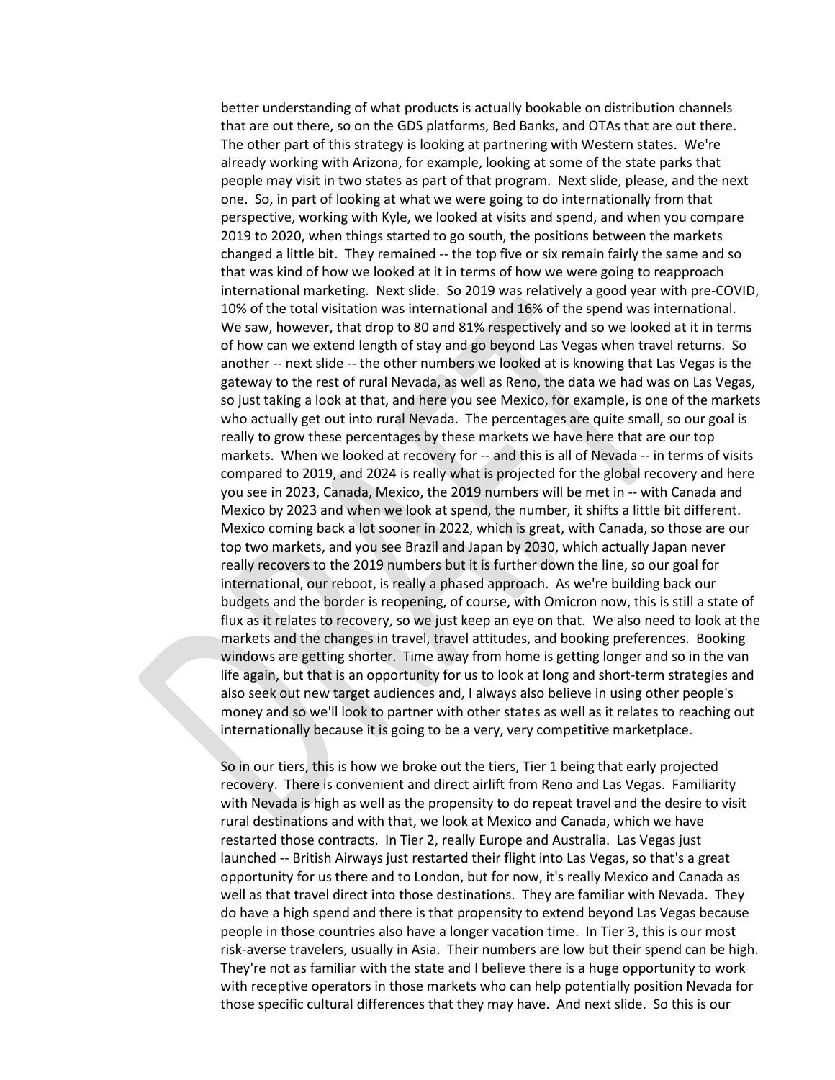better understanding of what products is actually bookable on distribution channels that are out there, so on the GDS platforms, Bed Banks, and OTAs that are out there. The other part of this strategy is looking at partnering with Western states. We're already working with Arizona, for example, looking at some of the state parks that people may visit in two states as part of that program. Next slide, please, and the next one. So, in part of looking at what we were going to do internationally from that perspective, working with Kyle, we looked at visits and spend, and when you compare 2019 to 2020, when things started to go south, the positions between the markets changed a little bit. They remained -- the top five or six remain fairly the same and so that was kind of how we looked at it in terms of how we were going to reapproach international marketing. Next slide. So 2019 was relatively a good year with pre-COVID, 10% of the total visitation was international and 16% of the spend was international. We saw, however, that drop to 80 and 81% respectively and so we looked at it in terms of how can we extend length of stay and go beyond Las Vegas when travel returns. So another -- next slide -- the other numbers we looked at is knowing that Las Vegas is the gateway to the rest of rural Nevada, as well as Reno, the data we had was on Las Vegas, so just taking a look at that, and here you see Mexico, for example, is one of the markets who actually get out into rural Nevada. The percentages are quite small, so our goal is really to grow these percentages by these markets we have here that are our top markets. When we looked at recovery for -- and this is all of Nevada -- in terms of visits compared to 2019, and 2024 is really what is projected for the global recovery and here you see in 2023, Canada, Mexico, the 2019 numbers will be met in -- with Canada and Mexico by 2023 and when we look at spend, the number, it shifts a little bit different. Mexico coming back a lot sooner in 2022, which is great, with Canada, so those are our top two markets, and you see Brazil and Japan by 2030, which actually Japan never really recovers to the 2019 numbers but it is further down the line, so our goal for international, our reboot, is really a phased approach. As we're building back our budgets and the border is reopening, of course, with Omicron now, this is still a state of flux as it relates to recovery, so we just keep an eye on that. We also need to look at the markets and the changes in travel, travel attitudes, and booking preferences. Booking windows are getting shorter. Time away from home is getting longer and so in the van life again, but that is an opportunity for us to look at long and short-term strategies and also seek out new target audiences and, I always also believe in using other people's money and so we'll look to partner with other states as well as it relates to reaching out internationally because it is going to be a very, very competitive marketplace.

So in our tiers, this is how we broke out the tiers, Tier 1 being that early projected recovery. There is convenient and direct airlift from Reno and Las Vegas. Familiarity with Nevada is high as well as the propensity to do repeat travel and the desire to visit rural destinations and with that, we look at Mexico and Canada, which we have restarted those contracts. In Tier 2, really Europe and Australia. Las Vegas just launched -- British Airways just restarted their flight into Las Vegas, so that's a great opportunity for us there and to London, but for now, it's really Mexico and Canada as well as that travel direct into those destinations. They are familiar with Nevada. They do have a high spend and there is that propensity to extend beyond Las Vegas because people in those countries also have a longer vacation time. In Tier 3, this is our most risk-averse travelers, usually in Asia. Their numbers are low but their spend can be high. They're not as familiar with the state and I believe there is a huge opportunity to work with receptive operators in those markets who can help potentially position Nevada for those specific cultural differences that they may have. And next slide. So this is our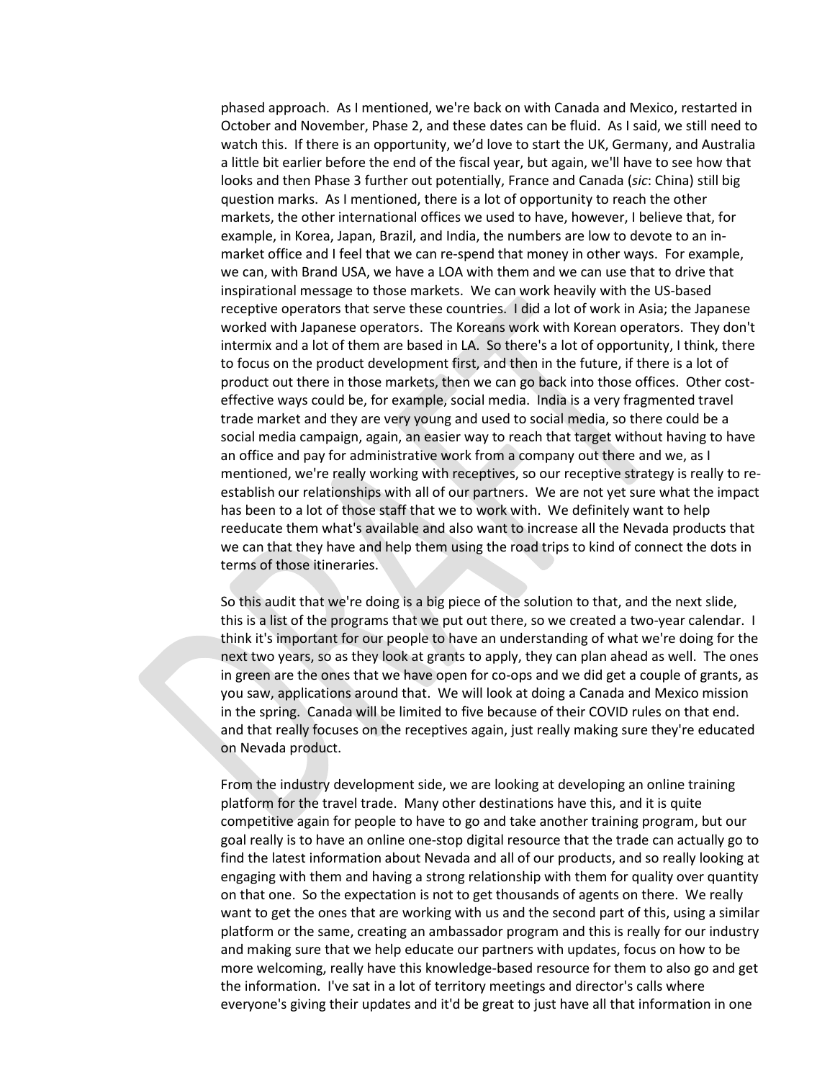phased approach. As I mentioned, we're back on with Canada and Mexico, restarted in October and November, Phase 2, and these dates can be fluid. As I said, we still need to watch this. If there is an opportunity, we'd love to start the UK, Germany, and Australia a little bit earlier before the end of the fiscal year, but again, we'll have to see how that looks and then Phase 3 further out potentially, France and Canada (*sic*: China) still big question marks. As I mentioned, there is a lot of opportunity to reach the other markets, the other international offices we used to have, however, I believe that, for example, in Korea, Japan, Brazil, and India, the numbers are low to devote to an inmarket office and I feel that we can re-spend that money in other ways. For example, we can, with Brand USA, we have a LOA with them and we can use that to drive that inspirational message to those markets. We can work heavily with the US-based receptive operators that serve these countries. I did a lot of work in Asia; the Japanese worked with Japanese operators. The Koreans work with Korean operators. They don't intermix and a lot of them are based in LA. So there's a lot of opportunity, I think, there to focus on the product development first, and then in the future, if there is a lot of product out there in those markets, then we can go back into those offices. Other costeffective ways could be, for example, social media. India is a very fragmented travel trade market and they are very young and used to social media, so there could be a social media campaign, again, an easier way to reach that target without having to have an office and pay for administrative work from a company out there and we, as I mentioned, we're really working with receptives, so our receptive strategy is really to reestablish our relationships with all of our partners. We are not yet sure what the impact has been to a lot of those staff that we to work with. We definitely want to help reeducate them what's available and also want to increase all the Nevada products that we can that they have and help them using the road trips to kind of connect the dots in terms of those itineraries.

So this audit that we're doing is a big piece of the solution to that, and the next slide, this is a list of the programs that we put out there, so we created a two-year calendar. I think it's important for our people to have an understanding of what we're doing for the next two years, so as they look at grants to apply, they can plan ahead as well. The ones in green are the ones that we have open for co-ops and we did get a couple of grants, as you saw, applications around that. We will look at doing a Canada and Mexico mission in the spring. Canada will be limited to five because of their COVID rules on that end. and that really focuses on the receptives again, just really making sure they're educated on Nevada product.

From the industry development side, we are looking at developing an online training platform for the travel trade. Many other destinations have this, and it is quite competitive again for people to have to go and take another training program, but our goal really is to have an online one-stop digital resource that the trade can actually go to find the latest information about Nevada and all of our products, and so really looking at engaging with them and having a strong relationship with them for quality over quantity on that one. So the expectation is not to get thousands of agents on there. We really want to get the ones that are working with us and the second part of this, using a similar platform or the same, creating an ambassador program and this is really for our industry and making sure that we help educate our partners with updates, focus on how to be more welcoming, really have this knowledge-based resource for them to also go and get the information. I've sat in a lot of territory meetings and director's calls where everyone's giving their updates and it'd be great to just have all that information in one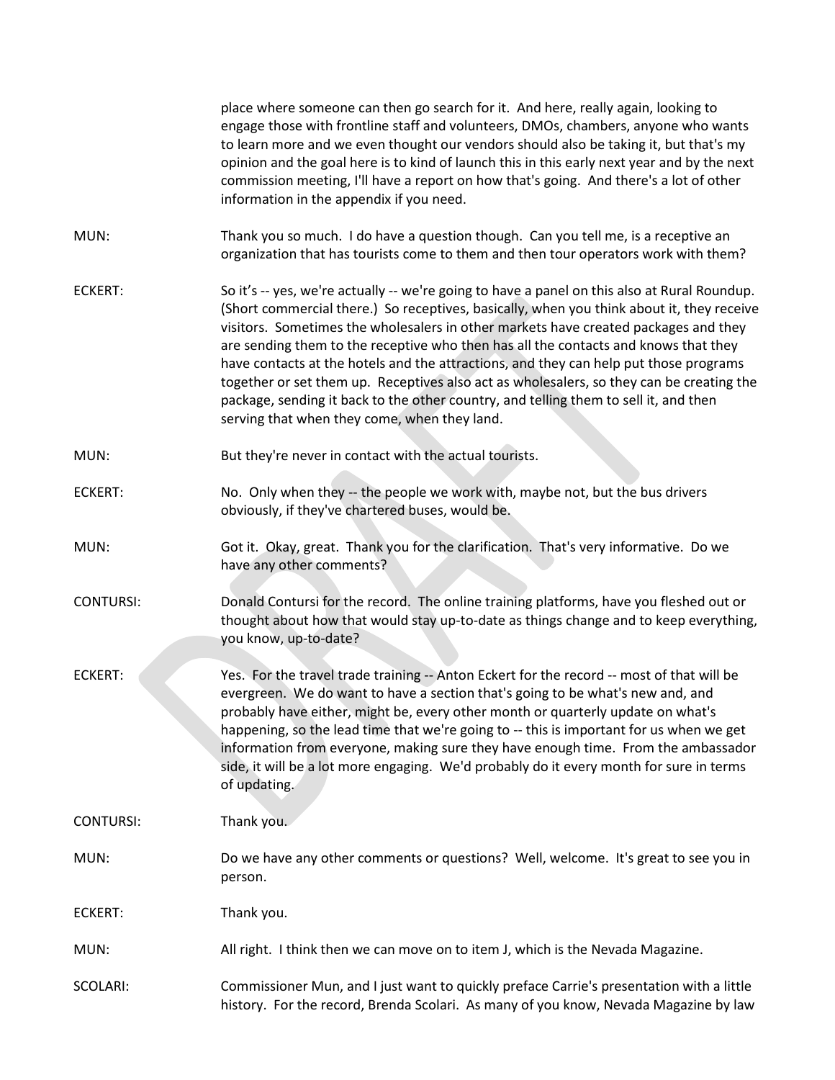|                  | place where someone can then go search for it. And here, really again, looking to<br>engage those with frontline staff and volunteers, DMOs, chambers, anyone who wants<br>to learn more and we even thought our vendors should also be taking it, but that's my<br>opinion and the goal here is to kind of launch this in this early next year and by the next<br>commission meeting, I'll have a report on how that's going. And there's a lot of other<br>information in the appendix if you need.                                                                                                                                                                                                |
|------------------|------------------------------------------------------------------------------------------------------------------------------------------------------------------------------------------------------------------------------------------------------------------------------------------------------------------------------------------------------------------------------------------------------------------------------------------------------------------------------------------------------------------------------------------------------------------------------------------------------------------------------------------------------------------------------------------------------|
| MUN:             | Thank you so much. I do have a question though. Can you tell me, is a receptive an<br>organization that has tourists come to them and then tour operators work with them?                                                                                                                                                                                                                                                                                                                                                                                                                                                                                                                            |
| <b>ECKERT:</b>   | So it's -- yes, we're actually -- we're going to have a panel on this also at Rural Roundup.<br>(Short commercial there.) So receptives, basically, when you think about it, they receive<br>visitors. Sometimes the wholesalers in other markets have created packages and they<br>are sending them to the receptive who then has all the contacts and knows that they<br>have contacts at the hotels and the attractions, and they can help put those programs<br>together or set them up. Receptives also act as wholesalers, so they can be creating the<br>package, sending it back to the other country, and telling them to sell it, and then<br>serving that when they come, when they land. |
| MUN:             | But they're never in contact with the actual tourists.                                                                                                                                                                                                                                                                                                                                                                                                                                                                                                                                                                                                                                               |
| <b>ECKERT:</b>   | No. Only when they -- the people we work with, maybe not, but the bus drivers<br>obviously, if they've chartered buses, would be.                                                                                                                                                                                                                                                                                                                                                                                                                                                                                                                                                                    |
| MUN:             | Got it. Okay, great. Thank you for the clarification. That's very informative. Do we<br>have any other comments?                                                                                                                                                                                                                                                                                                                                                                                                                                                                                                                                                                                     |
| <b>CONTURSI:</b> | Donald Contursi for the record. The online training platforms, have you fleshed out or<br>thought about how that would stay up-to-date as things change and to keep everything,<br>you know, up-to-date?                                                                                                                                                                                                                                                                                                                                                                                                                                                                                             |
| <b>ECKERT:</b>   | Yes. For the travel trade training -- Anton Eckert for the record -- most of that will be<br>evergreen. We do want to have a section that's going to be what's new and, and<br>probably have either, might be, every other month or quarterly update on what's<br>happening, so the lead time that we're going to -- this is important for us when we get<br>information from everyone, making sure they have enough time. From the ambassador<br>side, it will be a lot more engaging. We'd probably do it every month for sure in terms<br>of updating.                                                                                                                                            |
| <b>CONTURSI:</b> | Thank you.                                                                                                                                                                                                                                                                                                                                                                                                                                                                                                                                                                                                                                                                                           |
| MUN:             | Do we have any other comments or questions? Well, welcome. It's great to see you in<br>person.                                                                                                                                                                                                                                                                                                                                                                                                                                                                                                                                                                                                       |
| <b>ECKERT:</b>   | Thank you.                                                                                                                                                                                                                                                                                                                                                                                                                                                                                                                                                                                                                                                                                           |
| MUN:             | All right. I think then we can move on to item J, which is the Nevada Magazine.                                                                                                                                                                                                                                                                                                                                                                                                                                                                                                                                                                                                                      |
| SCOLARI:         | Commissioner Mun, and I just want to quickly preface Carrie's presentation with a little<br>history. For the record, Brenda Scolari. As many of you know, Nevada Magazine by law                                                                                                                                                                                                                                                                                                                                                                                                                                                                                                                     |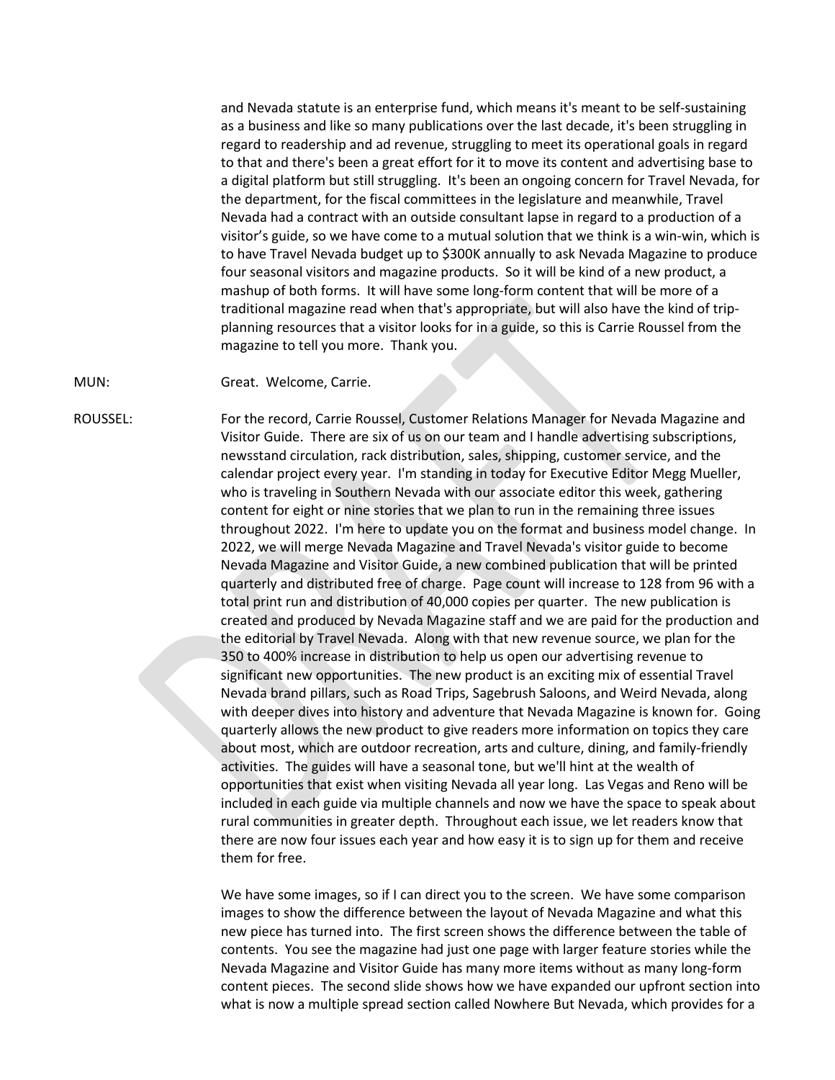and Nevada statute is an enterprise fund, which means it's meant to be self-sustaining as a business and like so many publications over the last decade, it's been struggling in regard to readership and ad revenue, struggling to meet its operational goals in regard to that and there's been a great effort for it to move its content and advertising base to a digital platform but still struggling. It's been an ongoing concern for Travel Nevada, for the department, for the fiscal committees in the legislature and meanwhile, Travel Nevada had a contract with an outside consultant lapse in regard to a production of a visitor's guide, so we have come to a mutual solution that we think is a win-win, which is to have Travel Nevada budget up to \$300K annually to ask Nevada Magazine to produce four seasonal visitors and magazine products. So it will be kind of a new product, a mashup of both forms. It will have some long-form content that will be more of a traditional magazine read when that's appropriate, but will also have the kind of tripplanning resources that a visitor looks for in a guide, so this is Carrie Roussel from the magazine to tell you more. Thank you.

MUN: Great. Welcome, Carrie.

ROUSSEL: For the record, Carrie Roussel, Customer Relations Manager for Nevada Magazine and Visitor Guide. There are six of us on our team and I handle advertising subscriptions, newsstand circulation, rack distribution, sales, shipping, customer service, and the calendar project every year. I'm standing in today for Executive Editor Megg Mueller, who is traveling in Southern Nevada with our associate editor this week, gathering content for eight or nine stories that we plan to run in the remaining three issues throughout 2022. I'm here to update you on the format and business model change. In 2022, we will merge Nevada Magazine and Travel Nevada's visitor guide to become Nevada Magazine and Visitor Guide, a new combined publication that will be printed quarterly and distributed free of charge. Page count will increase to 128 from 96 with a total print run and distribution of 40,000 copies per quarter. The new publication is created and produced by Nevada Magazine staff and we are paid for the production and the editorial by Travel Nevada. Along with that new revenue source, we plan for the 350 to 400% increase in distribution to help us open our advertising revenue to significant new opportunities. The new product is an exciting mix of essential Travel Nevada brand pillars, such as Road Trips, Sagebrush Saloons, and Weird Nevada, along with deeper dives into history and adventure that Nevada Magazine is known for. Going quarterly allows the new product to give readers more information on topics they care about most, which are outdoor recreation, arts and culture, dining, and family-friendly activities. The guides will have a seasonal tone, but we'll hint at the wealth of opportunities that exist when visiting Nevada all year long. Las Vegas and Reno will be included in each guide via multiple channels and now we have the space to speak about rural communities in greater depth. Throughout each issue, we let readers know that there are now four issues each year and how easy it is to sign up for them and receive them for free.

> We have some images, so if I can direct you to the screen. We have some comparison images to show the difference between the layout of Nevada Magazine and what this new piece has turned into. The first screen shows the difference between the table of contents. You see the magazine had just one page with larger feature stories while the Nevada Magazine and Visitor Guide has many more items without as many long-form content pieces. The second slide shows how we have expanded our upfront section into what is now a multiple spread section called Nowhere But Nevada, which provides for a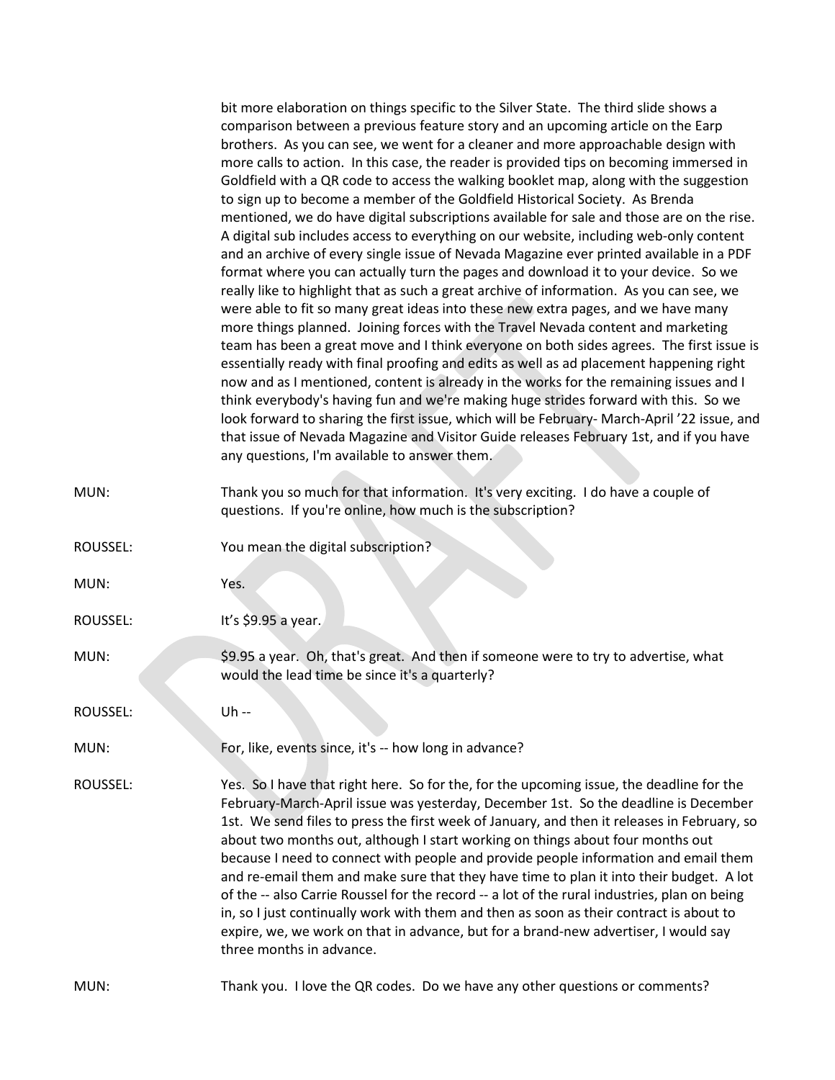|          | bit more elaboration on things specific to the Silver State. The third slide shows a<br>comparison between a previous feature story and an upcoming article on the Earp<br>brothers. As you can see, we went for a cleaner and more approachable design with<br>more calls to action. In this case, the reader is provided tips on becoming immersed in<br>Goldfield with a QR code to access the walking booklet map, along with the suggestion<br>to sign up to become a member of the Goldfield Historical Society. As Brenda<br>mentioned, we do have digital subscriptions available for sale and those are on the rise.<br>A digital sub includes access to everything on our website, including web-only content<br>and an archive of every single issue of Nevada Magazine ever printed available in a PDF<br>format where you can actually turn the pages and download it to your device. So we<br>really like to highlight that as such a great archive of information. As you can see, we<br>were able to fit so many great ideas into these new extra pages, and we have many<br>more things planned. Joining forces with the Travel Nevada content and marketing<br>team has been a great move and I think everyone on both sides agrees. The first issue is<br>essentially ready with final proofing and edits as well as ad placement happening right<br>now and as I mentioned, content is already in the works for the remaining issues and I<br>think everybody's having fun and we're making huge strides forward with this. So we<br>look forward to sharing the first issue, which will be February- March-April '22 issue, and<br>that issue of Nevada Magazine and Visitor Guide releases February 1st, and if you have<br>any questions, I'm available to answer them. |
|----------|------------------------------------------------------------------------------------------------------------------------------------------------------------------------------------------------------------------------------------------------------------------------------------------------------------------------------------------------------------------------------------------------------------------------------------------------------------------------------------------------------------------------------------------------------------------------------------------------------------------------------------------------------------------------------------------------------------------------------------------------------------------------------------------------------------------------------------------------------------------------------------------------------------------------------------------------------------------------------------------------------------------------------------------------------------------------------------------------------------------------------------------------------------------------------------------------------------------------------------------------------------------------------------------------------------------------------------------------------------------------------------------------------------------------------------------------------------------------------------------------------------------------------------------------------------------------------------------------------------------------------------------------------------------------------------------------------------------------------------------------------------------------------------------------|
| MUN:     | Thank you so much for that information. It's very exciting. I do have a couple of<br>questions. If you're online, how much is the subscription?                                                                                                                                                                                                                                                                                                                                                                                                                                                                                                                                                                                                                                                                                                                                                                                                                                                                                                                                                                                                                                                                                                                                                                                                                                                                                                                                                                                                                                                                                                                                                                                                                                                |
| ROUSSEL: | You mean the digital subscription?                                                                                                                                                                                                                                                                                                                                                                                                                                                                                                                                                                                                                                                                                                                                                                                                                                                                                                                                                                                                                                                                                                                                                                                                                                                                                                                                                                                                                                                                                                                                                                                                                                                                                                                                                             |
| MUN:     | Yes.                                                                                                                                                                                                                                                                                                                                                                                                                                                                                                                                                                                                                                                                                                                                                                                                                                                                                                                                                                                                                                                                                                                                                                                                                                                                                                                                                                                                                                                                                                                                                                                                                                                                                                                                                                                           |
| ROUSSEL: | It's \$9.95 a year.                                                                                                                                                                                                                                                                                                                                                                                                                                                                                                                                                                                                                                                                                                                                                                                                                                                                                                                                                                                                                                                                                                                                                                                                                                                                                                                                                                                                                                                                                                                                                                                                                                                                                                                                                                            |
| MUN:     | \$9.95 a year. Oh, that's great. And then if someone were to try to advertise, what<br>would the lead time be since it's a quarterly?                                                                                                                                                                                                                                                                                                                                                                                                                                                                                                                                                                                                                                                                                                                                                                                                                                                                                                                                                                                                                                                                                                                                                                                                                                                                                                                                                                                                                                                                                                                                                                                                                                                          |
| ROUSSEL: | Uh --                                                                                                                                                                                                                                                                                                                                                                                                                                                                                                                                                                                                                                                                                                                                                                                                                                                                                                                                                                                                                                                                                                                                                                                                                                                                                                                                                                                                                                                                                                                                                                                                                                                                                                                                                                                          |
| MUN:     | For, like, events since, it's -- how long in advance?                                                                                                                                                                                                                                                                                                                                                                                                                                                                                                                                                                                                                                                                                                                                                                                                                                                                                                                                                                                                                                                                                                                                                                                                                                                                                                                                                                                                                                                                                                                                                                                                                                                                                                                                          |
| ROUSSEL: | Yes. So I have that right here. So for the, for the upcoming issue, the deadline for the<br>February-March-April issue was yesterday, December 1st. So the deadline is December<br>1st. We send files to press the first week of January, and then it releases in February, so<br>about two months out, although I start working on things about four months out<br>because I need to connect with people and provide people information and email them<br>and re-email them and make sure that they have time to plan it into their budget. A lot<br>of the -- also Carrie Roussel for the record -- a lot of the rural industries, plan on being<br>in, so I just continually work with them and then as soon as their contract is about to<br>expire, we, we work on that in advance, but for a brand-new advertiser, I would say<br>three months in advance.                                                                                                                                                                                                                                                                                                                                                                                                                                                                                                                                                                                                                                                                                                                                                                                                                                                                                                                               |
| MUN:     | Thank you. I love the QR codes. Do we have any other questions or comments?                                                                                                                                                                                                                                                                                                                                                                                                                                                                                                                                                                                                                                                                                                                                                                                                                                                                                                                                                                                                                                                                                                                                                                                                                                                                                                                                                                                                                                                                                                                                                                                                                                                                                                                    |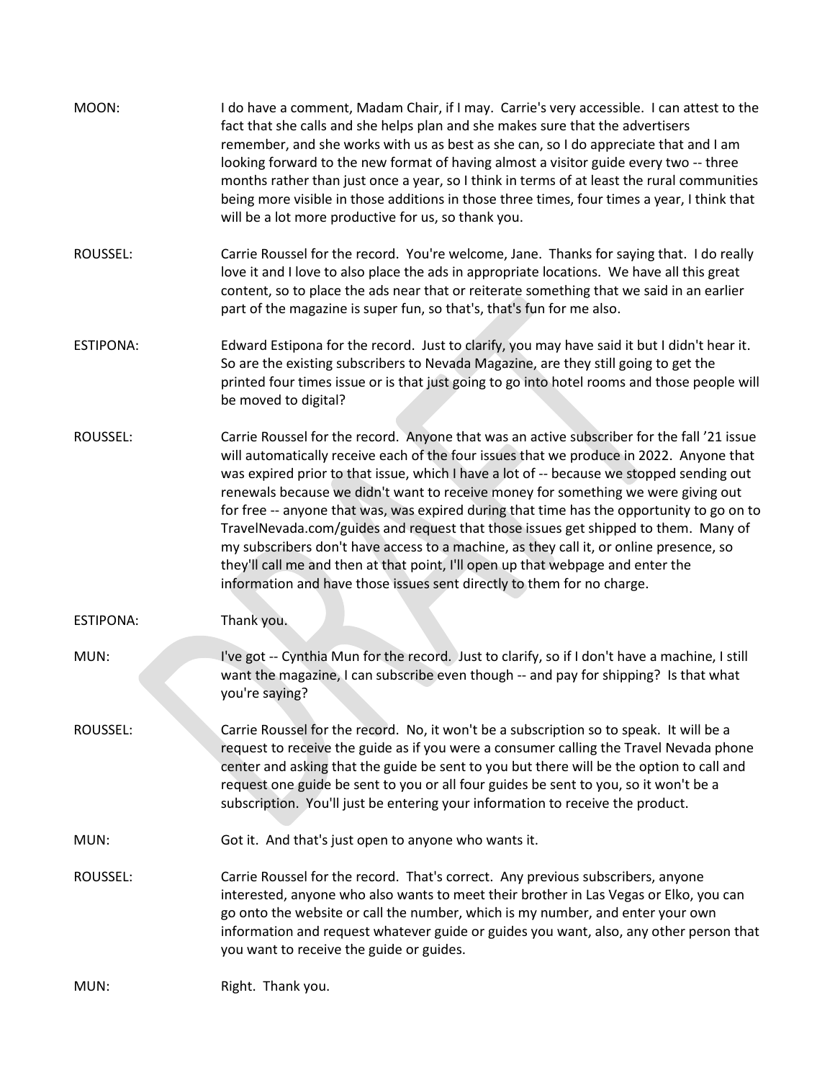| MOON:            | I do have a comment, Madam Chair, if I may. Carrie's very accessible. I can attest to the<br>fact that she calls and she helps plan and she makes sure that the advertisers<br>remember, and she works with us as best as she can, so I do appreciate that and I am<br>looking forward to the new format of having almost a visitor guide every two -- three<br>months rather than just once a year, so I think in terms of at least the rural communities<br>being more visible in those additions in those three times, four times a year, I think that<br>will be a lot more productive for us, so thank you.                                                                                                                                                                                                 |
|------------------|------------------------------------------------------------------------------------------------------------------------------------------------------------------------------------------------------------------------------------------------------------------------------------------------------------------------------------------------------------------------------------------------------------------------------------------------------------------------------------------------------------------------------------------------------------------------------------------------------------------------------------------------------------------------------------------------------------------------------------------------------------------------------------------------------------------|
| ROUSSEL:         | Carrie Roussel for the record. You're welcome, Jane. Thanks for saying that. I do really<br>love it and I love to also place the ads in appropriate locations. We have all this great<br>content, so to place the ads near that or reiterate something that we said in an earlier<br>part of the magazine is super fun, so that's, that's fun for me also.                                                                                                                                                                                                                                                                                                                                                                                                                                                       |
| <b>ESTIPONA:</b> | Edward Estipona for the record. Just to clarify, you may have said it but I didn't hear it.<br>So are the existing subscribers to Nevada Magazine, are they still going to get the<br>printed four times issue or is that just going to go into hotel rooms and those people will<br>be moved to digital?                                                                                                                                                                                                                                                                                                                                                                                                                                                                                                        |
| ROUSSEL:         | Carrie Roussel for the record. Anyone that was an active subscriber for the fall '21 issue<br>will automatically receive each of the four issues that we produce in 2022. Anyone that<br>was expired prior to that issue, which I have a lot of -- because we stopped sending out<br>renewals because we didn't want to receive money for something we were giving out<br>for free -- anyone that was, was expired during that time has the opportunity to go on to<br>TravelNevada.com/guides and request that those issues get shipped to them. Many of<br>my subscribers don't have access to a machine, as they call it, or online presence, so<br>they'll call me and then at that point, I'll open up that webpage and enter the<br>information and have those issues sent directly to them for no charge. |
| <b>ESTIPONA:</b> | Thank you.                                                                                                                                                                                                                                                                                                                                                                                                                                                                                                                                                                                                                                                                                                                                                                                                       |
| MUN:             | I've got -- Cynthia Mun for the record. Just to clarify, so if I don't have a machine, I still<br>want the magazine, I can subscribe even though -- and pay for shipping? Is that what<br>you're saying?                                                                                                                                                                                                                                                                                                                                                                                                                                                                                                                                                                                                         |
| ROUSSEL:         | Carrie Roussel for the record. No, it won't be a subscription so to speak. It will be a<br>request to receive the guide as if you were a consumer calling the Travel Nevada phone<br>center and asking that the guide be sent to you but there will be the option to call and<br>request one guide be sent to you or all four guides be sent to you, so it won't be a<br>subscription. You'll just be entering your information to receive the product.                                                                                                                                                                                                                                                                                                                                                          |
| MUN:             | Got it. And that's just open to anyone who wants it.                                                                                                                                                                                                                                                                                                                                                                                                                                                                                                                                                                                                                                                                                                                                                             |
| ROUSSEL:         | Carrie Roussel for the record. That's correct. Any previous subscribers, anyone<br>interested, anyone who also wants to meet their brother in Las Vegas or Elko, you can<br>go onto the website or call the number, which is my number, and enter your own<br>information and request whatever guide or guides you want, also, any other person that<br>you want to receive the guide or guides.                                                                                                                                                                                                                                                                                                                                                                                                                 |
| MUN:             | Right. Thank you.                                                                                                                                                                                                                                                                                                                                                                                                                                                                                                                                                                                                                                                                                                                                                                                                |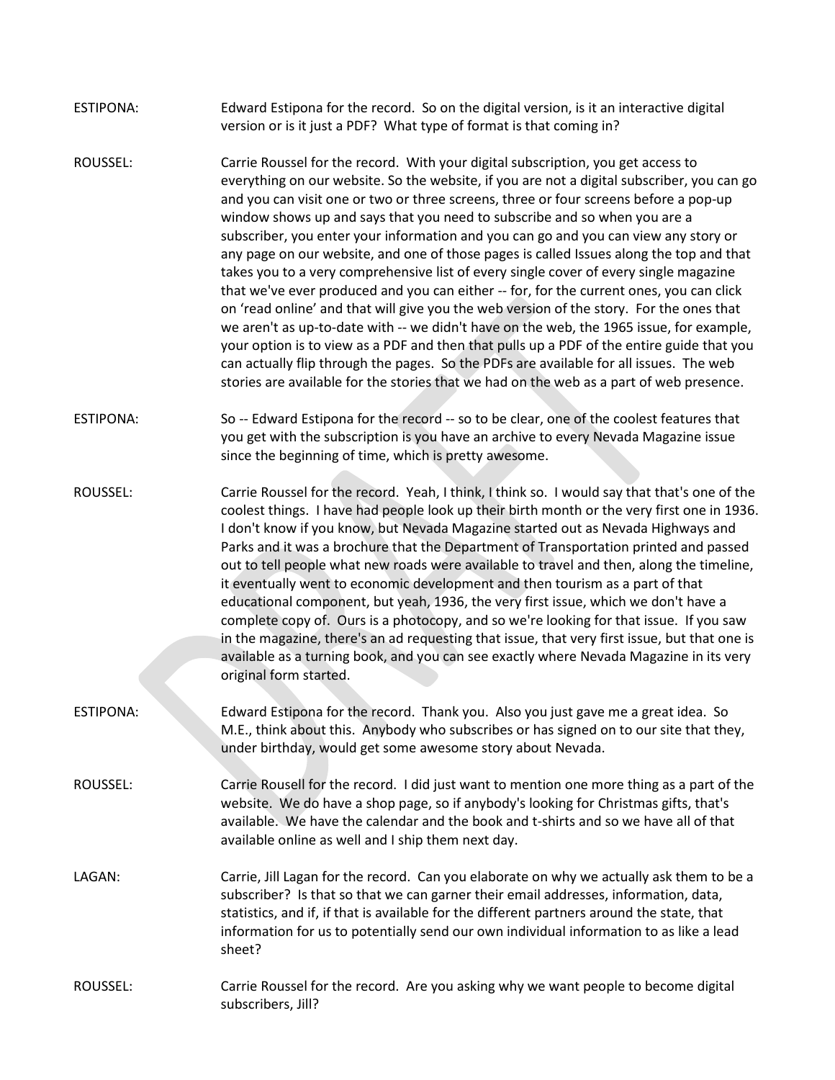| ESTIPONA: | Edward Estipona for the record. So on the digital version, is it an interactive digital |
|-----------|-----------------------------------------------------------------------------------------|
|           | version or is it just a PDF? What type of format is that coming in?                     |

- ROUSSEL: Carrie Roussel for the record. With your digital subscription, you get access to everything on our website. So the website, if you are not a digital subscriber, you can go and you can visit one or two or three screens, three or four screens before a pop-up window shows up and says that you need to subscribe and so when you are a subscriber, you enter your information and you can go and you can view any story or any page on our website, and one of those pages is called Issues along the top and that takes you to a very comprehensive list of every single cover of every single magazine that we've ever produced and you can either -- for, for the current ones, you can click on 'read online' and that will give you the web version of the story. For the ones that we aren't as up-to-date with -- we didn't have on the web, the 1965 issue, for example, your option is to view as a PDF and then that pulls up a PDF of the entire guide that you can actually flip through the pages. So the PDFs are available for all issues. The web stories are available for the stories that we had on the web as a part of web presence.
- ESTIPONA: So -- Edward Estipona for the record -- so to be clear, one of the coolest features that you get with the subscription is you have an archive to every Nevada Magazine issue since the beginning of time, which is pretty awesome.
- ROUSSEL: Carrie Roussel for the record. Yeah, I think, I think so. I would say that that's one of the coolest things. I have had people look up their birth month or the very first one in 1936. I don't know if you know, but Nevada Magazine started out as Nevada Highways and Parks and it was a brochure that the Department of Transportation printed and passed out to tell people what new roads were available to travel and then, along the timeline, it eventually went to economic development and then tourism as a part of that educational component, but yeah, 1936, the very first issue, which we don't have a complete copy of. Ours is a photocopy, and so we're looking for that issue. If you saw in the magazine, there's an ad requesting that issue, that very first issue, but that one is available as a turning book, and you can see exactly where Nevada Magazine in its very original form started.
- ESTIPONA: Edward Estipona for the record. Thank you. Also you just gave me a great idea. So M.E., think about this. Anybody who subscribes or has signed on to our site that they, under birthday, would get some awesome story about Nevada.
- ROUSSEL: Carrie Rousell for the record. I did just want to mention one more thing as a part of the website. We do have a shop page, so if anybody's looking for Christmas gifts, that's available. We have the calendar and the book and t-shirts and so we have all of that available online as well and I ship them next day.
- LAGAN: Carrie, Jill Lagan for the record. Can you elaborate on why we actually ask them to be a subscriber? Is that so that we can garner their email addresses, information, data, statistics, and if, if that is available for the different partners around the state, that information for us to potentially send our own individual information to as like a lead sheet?
- ROUSSEL: Carrie Roussel for the record. Are you asking why we want people to become digital subscribers, Jill?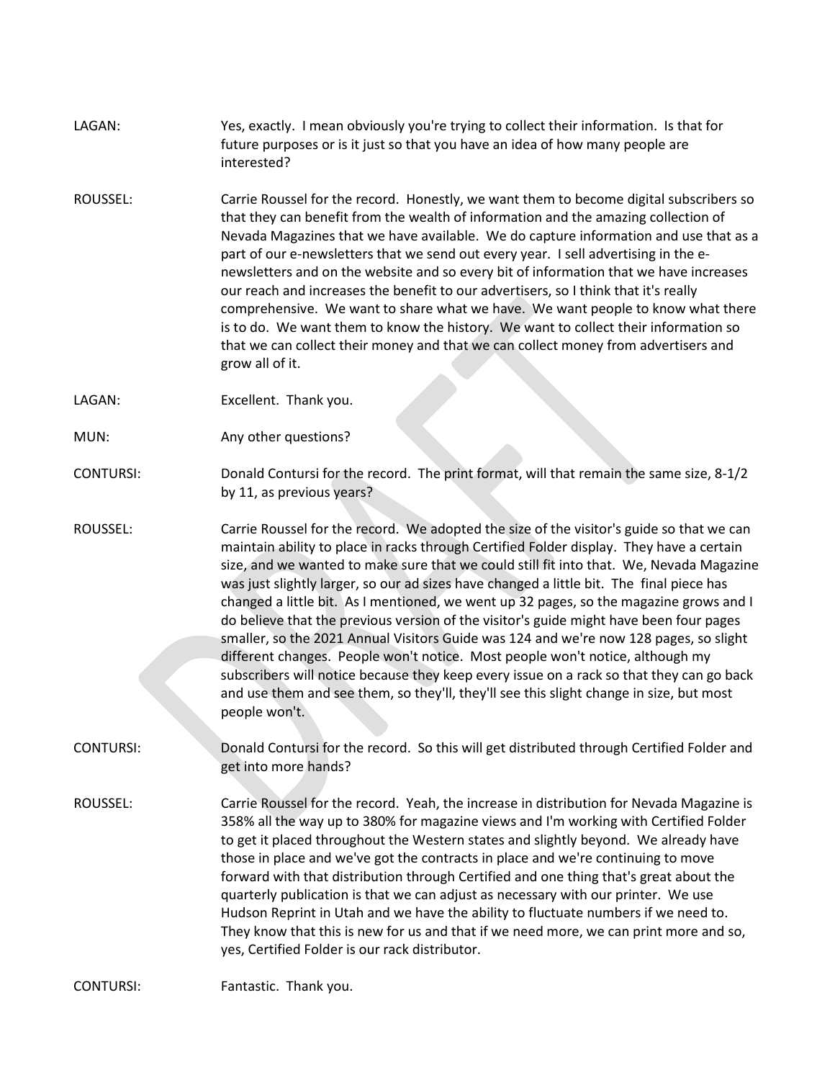| LAGAN: | Yes, exactly. I mean obviously you're trying to collect their information. Is that for |
|--------|----------------------------------------------------------------------------------------|
|        | future purposes or is it just so that you have an idea of how many people are          |
|        | interested?                                                                            |

ROUSSEL: Carrie Roussel for the record. Honestly, we want them to become digital subscribers so that they can benefit from the wealth of information and the amazing collection of Nevada Magazines that we have available. We do capture information and use that as a part of our e-newsletters that we send out every year. I sell advertising in the enewsletters and on the website and so every bit of information that we have increases our reach and increases the benefit to our advertisers, so I think that it's really comprehensive. We want to share what we have. We want people to know what there is to do. We want them to know the history. We want to collect their information so that we can collect their money and that we can collect money from advertisers and grow all of it.

LAGAN: Excellent. Thank you.

MUN: Any other questions?

CONTURSI: Donald Contursi for the record. The print format, will that remain the same size, 8-1/2 by 11, as previous years?

ROUSSEL: Carrie Roussel for the record. We adopted the size of the visitor's guide so that we can maintain ability to place in racks through Certified Folder display. They have a certain size, and we wanted to make sure that we could still fit into that. We, Nevada Magazine was just slightly larger, so our ad sizes have changed a little bit. The final piece has changed a little bit. As I mentioned, we went up 32 pages, so the magazine grows and I do believe that the previous version of the visitor's guide might have been four pages smaller, so the 2021 Annual Visitors Guide was 124 and we're now 128 pages, so slight different changes. People won't notice. Most people won't notice, although my subscribers will notice because they keep every issue on a rack so that they can go back and use them and see them, so they'll, they'll see this slight change in size, but most people won't.

CONTURSI: Donald Contursi for the record. So this will get distributed through Certified Folder and get into more hands?

ROUSSEL: Carrie Roussel for the record. Yeah, the increase in distribution for Nevada Magazine is 358% all the way up to 380% for magazine views and I'm working with Certified Folder to get it placed throughout the Western states and slightly beyond. We already have those in place and we've got the contracts in place and we're continuing to move forward with that distribution through Certified and one thing that's great about the quarterly publication is that we can adjust as necessary with our printer. We use Hudson Reprint in Utah and we have the ability to fluctuate numbers if we need to. They know that this is new for us and that if we need more, we can print more and so, yes, Certified Folder is our rack distributor.

CONTURSI: Fantastic. Thank you.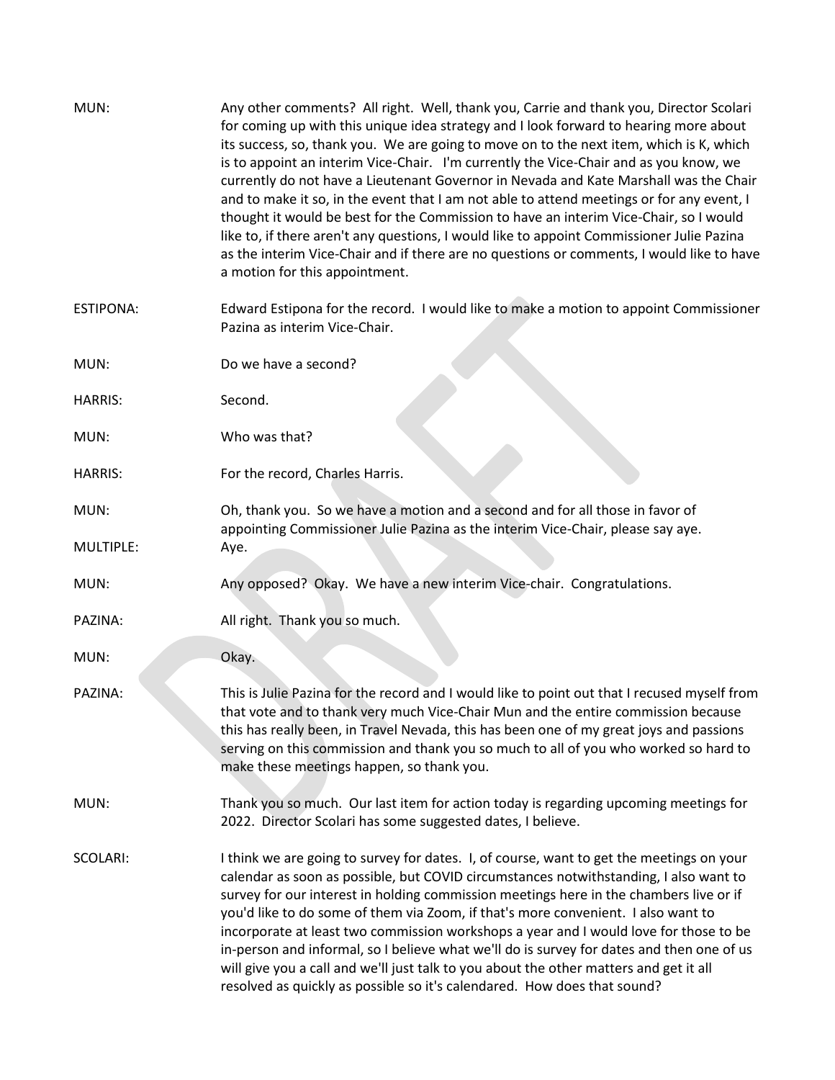| MUN:             | Any other comments? All right. Well, thank you, Carrie and thank you, Director Scolari<br>for coming up with this unique idea strategy and I look forward to hearing more about<br>its success, so, thank you. We are going to move on to the next item, which is K, which<br>is to appoint an interim Vice-Chair. I'm currently the Vice-Chair and as you know, we<br>currently do not have a Lieutenant Governor in Nevada and Kate Marshall was the Chair<br>and to make it so, in the event that I am not able to attend meetings or for any event, I<br>thought it would be best for the Commission to have an interim Vice-Chair, so I would<br>like to, if there aren't any questions, I would like to appoint Commissioner Julie Pazina<br>as the interim Vice-Chair and if there are no questions or comments, I would like to have<br>a motion for this appointment. |
|------------------|--------------------------------------------------------------------------------------------------------------------------------------------------------------------------------------------------------------------------------------------------------------------------------------------------------------------------------------------------------------------------------------------------------------------------------------------------------------------------------------------------------------------------------------------------------------------------------------------------------------------------------------------------------------------------------------------------------------------------------------------------------------------------------------------------------------------------------------------------------------------------------|
| <b>ESTIPONA:</b> | Edward Estipona for the record. I would like to make a motion to appoint Commissioner<br>Pazina as interim Vice-Chair.                                                                                                                                                                                                                                                                                                                                                                                                                                                                                                                                                                                                                                                                                                                                                         |
| MUN:             | Do we have a second?                                                                                                                                                                                                                                                                                                                                                                                                                                                                                                                                                                                                                                                                                                                                                                                                                                                           |
| <b>HARRIS:</b>   | Second.                                                                                                                                                                                                                                                                                                                                                                                                                                                                                                                                                                                                                                                                                                                                                                                                                                                                        |
| MUN:             | Who was that?                                                                                                                                                                                                                                                                                                                                                                                                                                                                                                                                                                                                                                                                                                                                                                                                                                                                  |
| <b>HARRIS:</b>   | For the record, Charles Harris.                                                                                                                                                                                                                                                                                                                                                                                                                                                                                                                                                                                                                                                                                                                                                                                                                                                |
| MUN:             | Oh, thank you. So we have a motion and a second and for all those in favor of                                                                                                                                                                                                                                                                                                                                                                                                                                                                                                                                                                                                                                                                                                                                                                                                  |
| MULTIPLE:        | appointing Commissioner Julie Pazina as the interim Vice-Chair, please say aye.<br>Aye.                                                                                                                                                                                                                                                                                                                                                                                                                                                                                                                                                                                                                                                                                                                                                                                        |
| MUN:             | Any opposed? Okay. We have a new interim Vice-chair. Congratulations.                                                                                                                                                                                                                                                                                                                                                                                                                                                                                                                                                                                                                                                                                                                                                                                                          |
| PAZINA:          | All right. Thank you so much.                                                                                                                                                                                                                                                                                                                                                                                                                                                                                                                                                                                                                                                                                                                                                                                                                                                  |
| MUN:             | Okay.                                                                                                                                                                                                                                                                                                                                                                                                                                                                                                                                                                                                                                                                                                                                                                                                                                                                          |
| PAZINA:          | This is Julie Pazina for the record and I would like to point out that I recused myself from<br>that vote and to thank very much Vice-Chair Mun and the entire commission because<br>this has really been, in Travel Nevada, this has been one of my great joys and passions<br>serving on this commission and thank you so much to all of you who worked so hard to<br>make these meetings happen, so thank you.                                                                                                                                                                                                                                                                                                                                                                                                                                                              |
| MUN:             | Thank you so much. Our last item for action today is regarding upcoming meetings for<br>2022. Director Scolari has some suggested dates, I believe.                                                                                                                                                                                                                                                                                                                                                                                                                                                                                                                                                                                                                                                                                                                            |
| SCOLARI:         | I think we are going to survey for dates. I, of course, want to get the meetings on your<br>calendar as soon as possible, but COVID circumstances notwithstanding, I also want to<br>survey for our interest in holding commission meetings here in the chambers live or if<br>you'd like to do some of them via Zoom, if that's more convenient. I also want to<br>incorporate at least two commission workshops a year and I would love for those to be<br>in-person and informal, so I believe what we'll do is survey for dates and then one of us<br>will give you a call and we'll just talk to you about the other matters and get it all<br>resolved as quickly as possible so it's calendared. How does that sound?                                                                                                                                                   |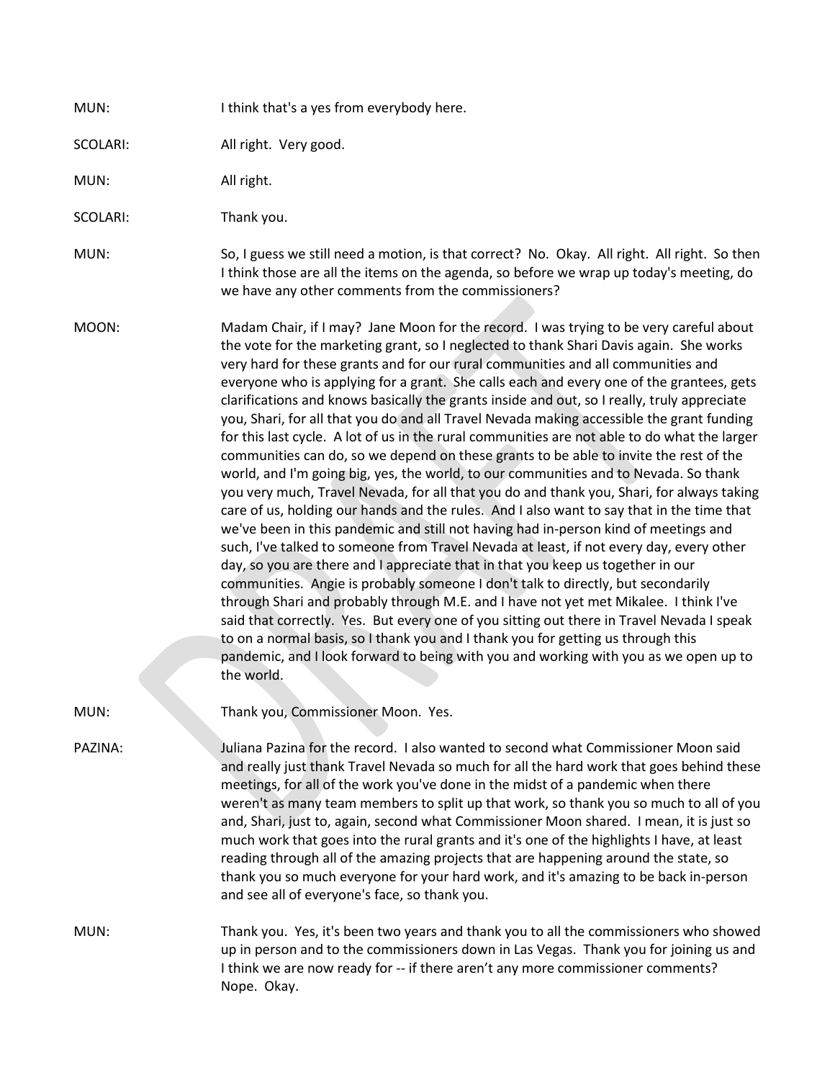| MUN:     | I think that's a yes from everybody here.                                                                                                                                                                                                                                                                                                                                                                                                                                                                                                                                                                                                                                                                                                                                                                                                                                                                                                                                                                                                                                                                                                                                                                                                                                                                                                                                                                                                                                                                                                                                                                                                                                                                                                                                       |
|----------|---------------------------------------------------------------------------------------------------------------------------------------------------------------------------------------------------------------------------------------------------------------------------------------------------------------------------------------------------------------------------------------------------------------------------------------------------------------------------------------------------------------------------------------------------------------------------------------------------------------------------------------------------------------------------------------------------------------------------------------------------------------------------------------------------------------------------------------------------------------------------------------------------------------------------------------------------------------------------------------------------------------------------------------------------------------------------------------------------------------------------------------------------------------------------------------------------------------------------------------------------------------------------------------------------------------------------------------------------------------------------------------------------------------------------------------------------------------------------------------------------------------------------------------------------------------------------------------------------------------------------------------------------------------------------------------------------------------------------------------------------------------------------------|
| SCOLARI: | All right. Very good.                                                                                                                                                                                                                                                                                                                                                                                                                                                                                                                                                                                                                                                                                                                                                                                                                                                                                                                                                                                                                                                                                                                                                                                                                                                                                                                                                                                                                                                                                                                                                                                                                                                                                                                                                           |
| MUN:     | All right.                                                                                                                                                                                                                                                                                                                                                                                                                                                                                                                                                                                                                                                                                                                                                                                                                                                                                                                                                                                                                                                                                                                                                                                                                                                                                                                                                                                                                                                                                                                                                                                                                                                                                                                                                                      |
| SCOLARI: | Thank you.                                                                                                                                                                                                                                                                                                                                                                                                                                                                                                                                                                                                                                                                                                                                                                                                                                                                                                                                                                                                                                                                                                                                                                                                                                                                                                                                                                                                                                                                                                                                                                                                                                                                                                                                                                      |
| MUN:     | So, I guess we still need a motion, is that correct? No. Okay. All right. All right. So then<br>I think those are all the items on the agenda, so before we wrap up today's meeting, do<br>we have any other comments from the commissioners?                                                                                                                                                                                                                                                                                                                                                                                                                                                                                                                                                                                                                                                                                                                                                                                                                                                                                                                                                                                                                                                                                                                                                                                                                                                                                                                                                                                                                                                                                                                                   |
| MOON:    | Madam Chair, if I may? Jane Moon for the record. I was trying to be very careful about<br>the vote for the marketing grant, so I neglected to thank Shari Davis again. She works<br>very hard for these grants and for our rural communities and all communities and<br>everyone who is applying for a grant. She calls each and every one of the grantees, gets<br>clarifications and knows basically the grants inside and out, so I really, truly appreciate<br>you, Shari, for all that you do and all Travel Nevada making accessible the grant funding<br>for this last cycle. A lot of us in the rural communities are not able to do what the larger<br>communities can do, so we depend on these grants to be able to invite the rest of the<br>world, and I'm going big, yes, the world, to our communities and to Nevada. So thank<br>you very much, Travel Nevada, for all that you do and thank you, Shari, for always taking<br>care of us, holding our hands and the rules. And I also want to say that in the time that<br>we've been in this pandemic and still not having had in-person kind of meetings and<br>such, I've talked to someone from Travel Nevada at least, if not every day, every other<br>day, so you are there and I appreciate that in that you keep us together in our<br>communities. Angie is probably someone I don't talk to directly, but secondarily<br>through Shari and probably through M.E. and I have not yet met Mikalee. I think I've<br>said that correctly. Yes. But every one of you sitting out there in Travel Nevada I speak<br>to on a normal basis, so I thank you and I thank you for getting us through this<br>pandemic, and I look forward to being with you and working with you as we open up to<br>the world. |
| MUN:     | Thank you, Commissioner Moon. Yes.                                                                                                                                                                                                                                                                                                                                                                                                                                                                                                                                                                                                                                                                                                                                                                                                                                                                                                                                                                                                                                                                                                                                                                                                                                                                                                                                                                                                                                                                                                                                                                                                                                                                                                                                              |
| PAZINA:  | Juliana Pazina for the record. I also wanted to second what Commissioner Moon said<br>and really just thank Travel Nevada so much for all the hard work that goes behind these<br>meetings, for all of the work you've done in the midst of a pandemic when there<br>weren't as many team members to split up that work, so thank you so much to all of you<br>and, Shari, just to, again, second what Commissioner Moon shared. I mean, it is just so<br>much work that goes into the rural grants and it's one of the highlights I have, at least<br>reading through all of the amazing projects that are happening around the state, so<br>thank you so much everyone for your hard work, and it's amazing to be back in-person<br>and see all of everyone's face, so thank you.                                                                                                                                                                                                                                                                                                                                                                                                                                                                                                                                                                                                                                                                                                                                                                                                                                                                                                                                                                                             |
| MUN:     | Thank you. Yes, it's been two years and thank you to all the commissioners who showed<br>up in person and to the commissioners down in Las Vegas. Thank you for joining us and<br>I think we are now ready for -- if there aren't any more commissioner comments?<br>Nope. Okay.                                                                                                                                                                                                                                                                                                                                                                                                                                                                                                                                                                                                                                                                                                                                                                                                                                                                                                                                                                                                                                                                                                                                                                                                                                                                                                                                                                                                                                                                                                |